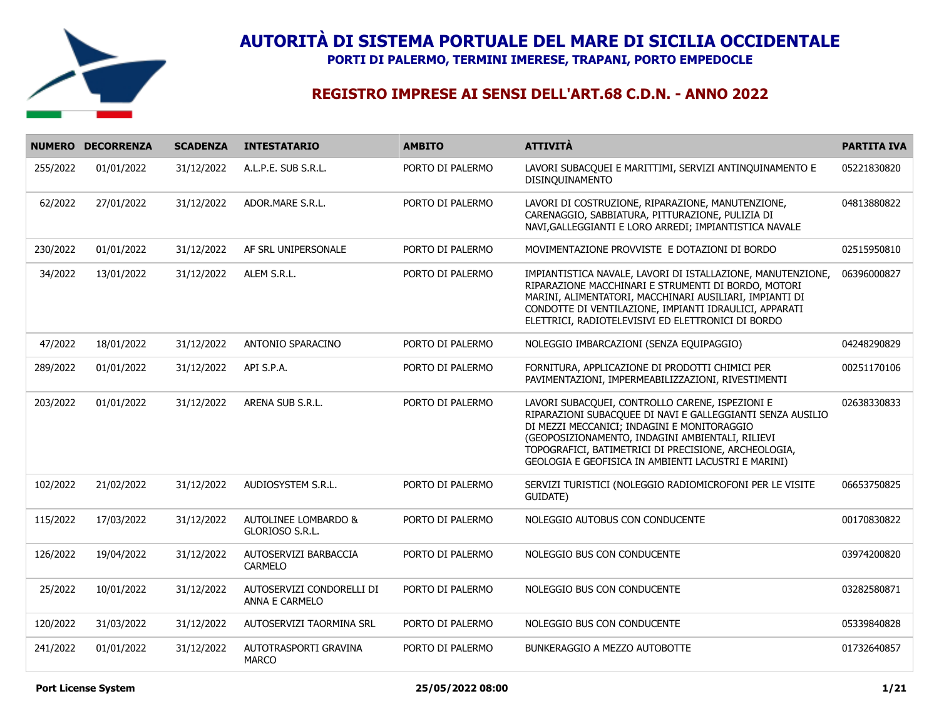

**PORTI DI PALERMO, TERMINI IMERESE, TRAPANI, PORTO EMPEDOCLE**

|          | NUMERO DECORRENZA | <b>SCADENZA</b> | <b>INTESTATARIO</b>                         | <b>AMBITO</b>    | <b>ATTIVITÀ</b>                                                                                                                                                                                                                                                                                                                 | <b>PARTITA IVA</b> |
|----------|-------------------|-----------------|---------------------------------------------|------------------|---------------------------------------------------------------------------------------------------------------------------------------------------------------------------------------------------------------------------------------------------------------------------------------------------------------------------------|--------------------|
| 255/2022 | 01/01/2022        | 31/12/2022      | A.L.P.E. SUB S.R.L.                         | PORTO DI PALERMO | LAVORI SUBACQUEI E MARITTIMI, SERVIZI ANTINQUINAMENTO E<br>DISINQUINAMENTO                                                                                                                                                                                                                                                      | 05221830820        |
| 62/2022  | 27/01/2022        | 31/12/2022      | ADOR.MARE S.R.L.                            | PORTO DI PALERMO | LAVORI DI COSTRUZIONE, RIPARAZIONE, MANUTENZIONE,<br>CARENAGGIO, SABBIATURA, PITTURAZIONE, PULIZIA DI<br>NAVI, GALLEGGIANTI E LORO ARREDI; IMPIANTISTICA NAVALE                                                                                                                                                                 | 04813880822        |
| 230/2022 | 01/01/2022        | 31/12/2022      | AF SRL UNIPERSONALE                         | PORTO DI PALERMO | MOVIMENTAZIONE PROVVISTE E DOTAZIONI DI BORDO                                                                                                                                                                                                                                                                                   | 02515950810        |
| 34/2022  | 13/01/2022        | 31/12/2022      | ALEM S.R.L.                                 | PORTO DI PALERMO | IMPIANTISTICA NAVALE, LAVORI DI ISTALLAZIONE, MANUTENZIONE,<br>RIPARAZIONE MACCHINARI E STRUMENTI DI BORDO, MOTORI<br>MARINI, ALIMENTATORI, MACCHINARI AUSILIARI, IMPIANTI DI<br>CONDOTTE DI VENTILAZIONE, IMPIANTI IDRAULICI, APPARATI<br>ELETTRICI, RADIOTELEVISIVI ED ELETTRONICI DI BORDO                                   | 06396000827        |
| 47/2022  | 18/01/2022        | 31/12/2022      | ANTONIO SPARACINO                           | PORTO DI PALERMO | NOLEGGIO IMBARCAZIONI (SENZA EQUIPAGGIO)                                                                                                                                                                                                                                                                                        | 04248290829        |
| 289/2022 | 01/01/2022        | 31/12/2022      | API S.P.A.                                  | PORTO DI PALERMO | FORNITURA, APPLICAZIONE DI PRODOTTI CHIMICI PER<br>PAVIMENTAZIONI, IMPERMEABILIZZAZIONI, RIVESTIMENTI                                                                                                                                                                                                                           | 00251170106        |
| 203/2022 | 01/01/2022        | 31/12/2022      | ARENA SUB S.R.L.                            | PORTO DI PALERMO | LAVORI SUBACQUEI, CONTROLLO CARENE, ISPEZIONI E<br>RIPARAZIONI SUBACQUEE DI NAVI E GALLEGGIANTI SENZA AUSILIO<br>DI MEZZI MECCANICI; INDAGINI E MONITORAGGIO<br>(GEOPOSIZIONAMENTO, INDAGINI AMBIENTALI, RILIEVI<br>TOPOGRAFICI, BATIMETRICI DI PRECISIONE, ARCHEOLOGIA,<br>GEOLOGIA E GEOFISICA IN AMBIENTI LACUSTRI E MARINI) | 02638330833        |
| 102/2022 | 21/02/2022        | 31/12/2022      | AUDIOSYSTEM S.R.L.                          | PORTO DI PALERMO | SERVIZI TURISTICI (NOLEGGIO RADIOMICROFONI PER LE VISITE<br>GUIDATE)                                                                                                                                                                                                                                                            | 06653750825        |
| 115/2022 | 17/03/2022        | 31/12/2022      | AUTOLINEE LOMBARDO &<br>GLORIOSO S.R.L.     | PORTO DI PALERMO | NOLEGGIO AUTOBUS CON CONDUCENTE                                                                                                                                                                                                                                                                                                 | 00170830822        |
| 126/2022 | 19/04/2022        | 31/12/2022      | AUTOSERVIZI BARBACCIA<br>CARMELO            | PORTO DI PALERMO | NOLEGGIO BUS CON CONDUCENTE                                                                                                                                                                                                                                                                                                     | 03974200820        |
| 25/2022  | 10/01/2022        | 31/12/2022      | AUTOSERVIZI CONDORELLI DI<br>ANNA E CARMELO | PORTO DI PALERMO | NOLEGGIO BUS CON CONDUCENTE                                                                                                                                                                                                                                                                                                     | 03282580871        |
| 120/2022 | 31/03/2022        | 31/12/2022      | AUTOSERVIZI TAORMINA SRL                    | PORTO DI PALERMO | NOLEGGIO BUS CON CONDUCENTE                                                                                                                                                                                                                                                                                                     | 05339840828        |
| 241/2022 | 01/01/2022        | 31/12/2022      | AUTOTRASPORTI GRAVINA<br><b>MARCO</b>       | PORTO DI PALERMO | BUNKERAGGIO A MEZZO AUTOBOTTE                                                                                                                                                                                                                                                                                                   | 01732640857        |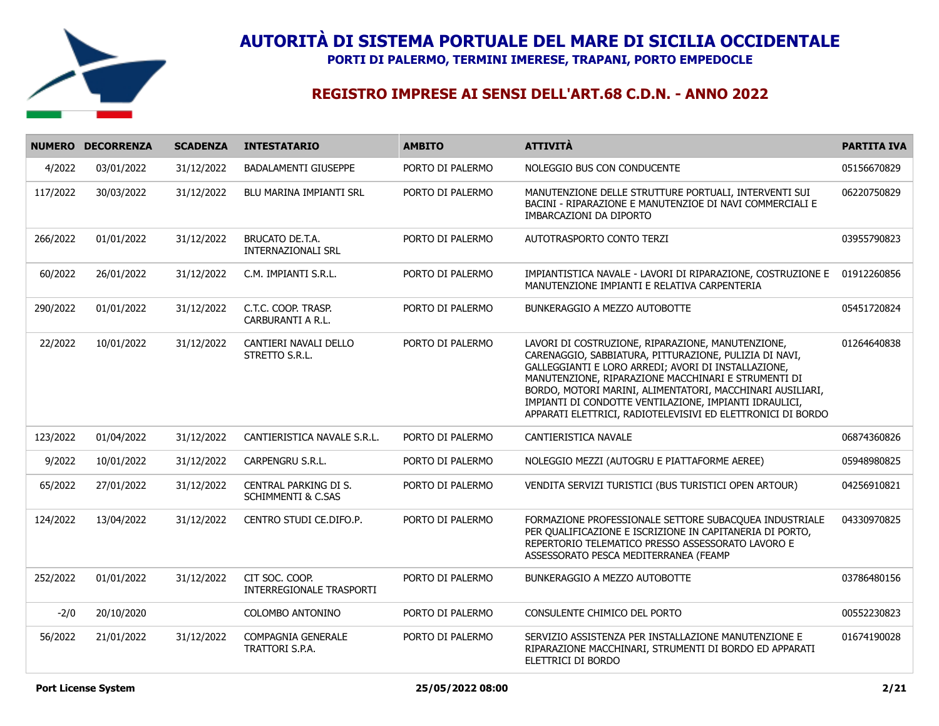

**PORTI DI PALERMO, TERMINI IMERESE, TRAPANI, PORTO EMPEDOCLE**

|          | NUMERO DECORRENZA | <b>SCADENZA</b> | <b>INTESTATARIO</b>                                    | <b>AMBITO</b>    | <b>ATTIVITÀ</b>                                                                                                                                                                                                                                                                                                                                                                                                 | <b>PARTITA IVA</b> |
|----------|-------------------|-----------------|--------------------------------------------------------|------------------|-----------------------------------------------------------------------------------------------------------------------------------------------------------------------------------------------------------------------------------------------------------------------------------------------------------------------------------------------------------------------------------------------------------------|--------------------|
| 4/2022   | 03/01/2022        | 31/12/2022      | <b>BADALAMENTI GIUSEPPE</b>                            | PORTO DI PALERMO | NOLEGGIO BUS CON CONDUCENTE                                                                                                                                                                                                                                                                                                                                                                                     | 05156670829        |
| 117/2022 | 30/03/2022        | 31/12/2022      | BLU MARINA IMPIANTI SRL                                | PORTO DI PALERMO | MANUTENZIONE DELLE STRUTTURE PORTUALI, INTERVENTI SUI<br>BACINI - RIPARAZIONE E MANUTENZIOE DI NAVI COMMERCIALI E<br>IMBARCAZIONI DA DIPORTO                                                                                                                                                                                                                                                                    | 06220750829        |
| 266/2022 | 01/01/2022        | 31/12/2022      | BRUCATO DE.T.A.<br><b>INTERNAZIONALI SRL</b>           | PORTO DI PALERMO | AUTOTRASPORTO CONTO TERZI                                                                                                                                                                                                                                                                                                                                                                                       | 03955790823        |
| 60/2022  | 26/01/2022        | 31/12/2022      | C.M. IMPIANTI S.R.L.                                   | PORTO DI PALERMO | IMPIANTISTICA NAVALE - LAVORI DI RIPARAZIONE, COSTRUZIONE E<br>MANUTENZIONE IMPIANTI E RELATIVA CARPENTERIA                                                                                                                                                                                                                                                                                                     | 01912260856        |
| 290/2022 | 01/01/2022        | 31/12/2022      | C.T.C. COOP. TRASP.<br>CARBURANTI A R.L.               | PORTO DI PALERMO | BUNKERAGGIO A MEZZO AUTOBOTTE                                                                                                                                                                                                                                                                                                                                                                                   | 05451720824        |
| 22/2022  | 10/01/2022        | 31/12/2022      | CANTIERI NAVALI DELLO<br>STRETTO S.R.L.                | PORTO DI PALERMO | LAVORI DI COSTRUZIONE, RIPARAZIONE, MANUTENZIONE,<br>CARENAGGIO, SABBIATURA, PITTURAZIONE, PULIZIA DI NAVI,<br>GALLEGGIANTI E LORO ARREDI; AVORI DI INSTALLAZIONE,<br>MANUTENZIONE, RIPARAZIONE MACCHINARI E STRUMENTI DI<br>BORDO, MOTORI MARINI, ALIMENTATORI, MACCHINARI AUSILIARI,<br>IMPIANTI DI CONDOTTE VENTILAZIONE, IMPIANTI IDRAULICI,<br>APPARATI ELETTRICI, RADIOTELEVISIVI ED ELETTRONICI DI BORDO | 01264640838        |
| 123/2022 | 01/04/2022        | 31/12/2022      | CANTIERISTICA NAVALE S.R.L.                            | PORTO DI PALERMO | CANTIERISTICA NAVALE                                                                                                                                                                                                                                                                                                                                                                                            | 06874360826        |
| 9/2022   | 10/01/2022        | 31/12/2022      | CARPENGRU S.R.L.                                       | PORTO DI PALERMO | NOLEGGIO MEZZI (AUTOGRU E PIATTAFORME AEREE)                                                                                                                                                                                                                                                                                                                                                                    | 05948980825        |
| 65/2022  | 27/01/2022        | 31/12/2022      | CENTRAL PARKING DI S.<br><b>SCHIMMENTI &amp; C.SAS</b> | PORTO DI PALERMO | VENDITA SERVIZI TURISTICI (BUS TURISTICI OPEN ARTOUR)                                                                                                                                                                                                                                                                                                                                                           | 04256910821        |
| 124/2022 | 13/04/2022        | 31/12/2022      | CENTRO STUDI CE.DIFO.P.                                | PORTO DI PALERMO | FORMAZIONE PROFESSIONALE SETTORE SUBACQUEA INDUSTRIALE<br>PER QUALIFICAZIONE E ISCRIZIONE IN CAPITANERIA DI PORTO,<br>REPERTORIO TELEMATICO PRESSO ASSESSORATO LAVORO E<br>ASSESSORATO PESCA MEDITERRANEA (FEAMP                                                                                                                                                                                                | 04330970825        |
| 252/2022 | 01/01/2022        | 31/12/2022      | CIT SOC. COOP.<br><b>INTERREGIONALE TRASPORTI</b>      | PORTO DI PALERMO | BUNKERAGGIO A MEZZO AUTOBOTTE                                                                                                                                                                                                                                                                                                                                                                                   | 03786480156        |
| $-2/0$   | 20/10/2020        |                 | COLOMBO ANTONINO                                       | PORTO DI PALERMO | CONSULENTE CHIMICO DEL PORTO                                                                                                                                                                                                                                                                                                                                                                                    | 00552230823        |
| 56/2022  | 21/01/2022        | 31/12/2022      | <b>COMPAGNIA GENERALE</b><br><b>TRATTORI S.P.A.</b>    | PORTO DI PALERMO | SERVIZIO ASSISTENZA PER INSTALLAZIONE MANUTENZIONE E<br>RIPARAZIONE MACCHINARI, STRUMENTI DI BORDO ED APPARATI<br>ELETTRICI DI BORDO                                                                                                                                                                                                                                                                            | 01674190028        |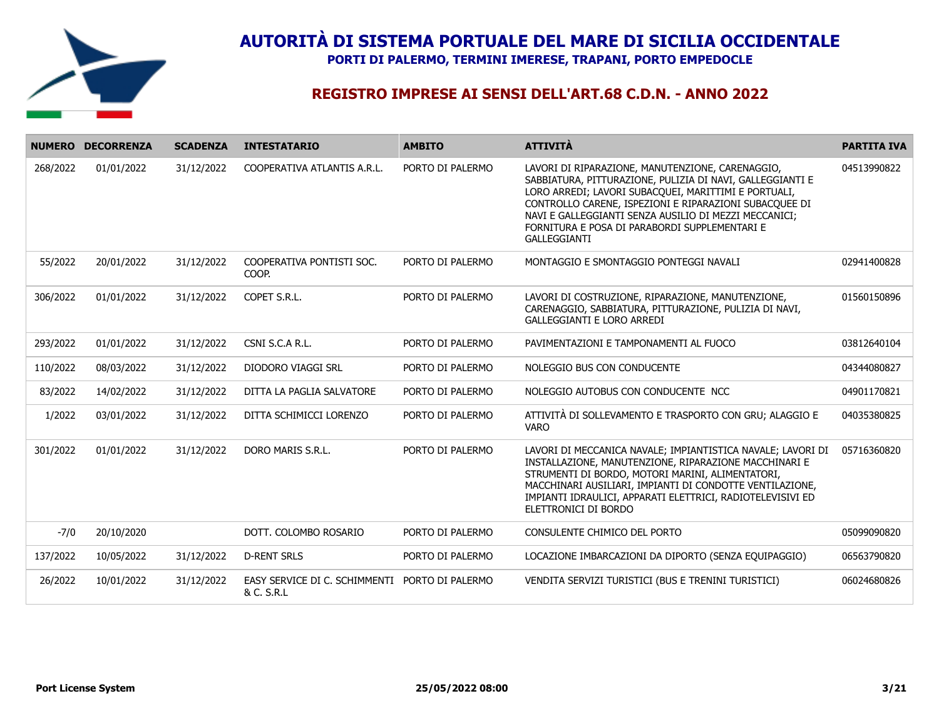

**PORTI DI PALERMO, TERMINI IMERESE, TRAPANI, PORTO EMPEDOCLE**

|          | NUMERO DECORRENZA | <b>SCADENZA</b> | <b>INTESTATARIO</b>                                          | <b>AMBITO</b>    | <b>ATTIVITÀ</b>                                                                                                                                                                                                                                                                                                                                           | <b>PARTITA IVA</b> |
|----------|-------------------|-----------------|--------------------------------------------------------------|------------------|-----------------------------------------------------------------------------------------------------------------------------------------------------------------------------------------------------------------------------------------------------------------------------------------------------------------------------------------------------------|--------------------|
| 268/2022 | 01/01/2022        | 31/12/2022      | COOPERATIVA ATLANTIS A.R.L.                                  | PORTO DI PALERMO | LAVORI DI RIPARAZIONE, MANUTENZIONE, CARENAGGIO,<br>SABBIATURA, PITTURAZIONE, PULIZIA DI NAVI, GALLEGGIANTI E<br>LORO ARREDI; LAVORI SUBACQUEI, MARITTIMI E PORTUALI,<br>CONTROLLO CARENE, ISPEZIONI E RIPARAZIONI SUBACQUEE DI<br>NAVI E GALLEGGIANTI SENZA AUSILIO DI MEZZI MECCANICI;<br>FORNITURA E POSA DI PARABORDI SUPPLEMENTARI E<br>GALLEGGIANTI | 04513990822        |
| 55/2022  | 20/01/2022        | 31/12/2022      | COOPERATIVA PONTISTI SOC.<br>COOP.                           | PORTO DI PALERMO | MONTAGGIO E SMONTAGGIO PONTEGGI NAVALI                                                                                                                                                                                                                                                                                                                    | 02941400828        |
| 306/2022 | 01/01/2022        | 31/12/2022      | COPET S.R.L.                                                 | PORTO DI PALERMO | LAVORI DI COSTRUZIONE, RIPARAZIONE, MANUTENZIONE,<br>CARENAGGIO, SABBIATURA, PITTURAZIONE, PULIZIA DI NAVI,<br><b>GALLEGGIANTI E LORO ARREDI</b>                                                                                                                                                                                                          | 01560150896        |
| 293/2022 | 01/01/2022        | 31/12/2022      | CSNI S.C.A R.L.                                              | PORTO DI PALERMO | PAVIMENTAZIONI E TAMPONAMENTI AL FUOCO                                                                                                                                                                                                                                                                                                                    | 03812640104        |
| 110/2022 | 08/03/2022        | 31/12/2022      | DIODORO VIAGGI SRL                                           | PORTO DI PALERMO | NOLEGGIO BUS CON CONDUCENTE                                                                                                                                                                                                                                                                                                                               | 04344080827        |
| 83/2022  | 14/02/2022        | 31/12/2022      | DITTA LA PAGLIA SALVATORE                                    | PORTO DI PALERMO | NOLEGGIO AUTOBUS CON CONDUCENTE NCC                                                                                                                                                                                                                                                                                                                       | 04901170821        |
| 1/2022   | 03/01/2022        | 31/12/2022      | DITTA SCHIMICCI LORENZO                                      | PORTO DI PALERMO | ATTIVITÀ DI SOLLEVAMENTO E TRASPORTO CON GRU; ALAGGIO E<br><b>VARO</b>                                                                                                                                                                                                                                                                                    | 04035380825        |
| 301/2022 | 01/01/2022        | 31/12/2022      | DORO MARIS S.R.L.                                            | PORTO DI PALERMO | LAVORI DI MECCANICA NAVALE; IMPIANTISTICA NAVALE; LAVORI DI<br>INSTALLAZIONE, MANUTENZIONE, RIPARAZIONE MACCHINARI E<br>STRUMENTI DI BORDO, MOTORI MARINI, ALIMENTATORI,<br>MACCHINARI AUSILIARI, IMPIANTI DI CONDOTTE VENTILAZIONE,<br>IMPIANTI IDRAULICI, APPARATI ELETTRICI, RADIOTELEVISIVI ED<br>ELETTRONICI DI BORDO                                | 05716360820        |
| $-7/0$   | 20/10/2020        |                 | DOTT. COLOMBO ROSARIO                                        | PORTO DI PALERMO | CONSULENTE CHIMICO DEL PORTO                                                                                                                                                                                                                                                                                                                              | 05099090820        |
| 137/2022 | 10/05/2022        | 31/12/2022      | <b>D-RENT SRLS</b>                                           | PORTO DI PALERMO | LOCAZIONE IMBARCAZIONI DA DIPORTO (SENZA EQUIPAGGIO)                                                                                                                                                                                                                                                                                                      | 06563790820        |
| 26/2022  | 10/01/2022        | 31/12/2022      | EASY SERVICE DI C. SCHIMMENTI PORTO DI PALERMO<br>& C. S.R.L |                  | VENDITA SERVIZI TURISTICI (BUS E TRENINI TURISTICI)                                                                                                                                                                                                                                                                                                       | 06024680826        |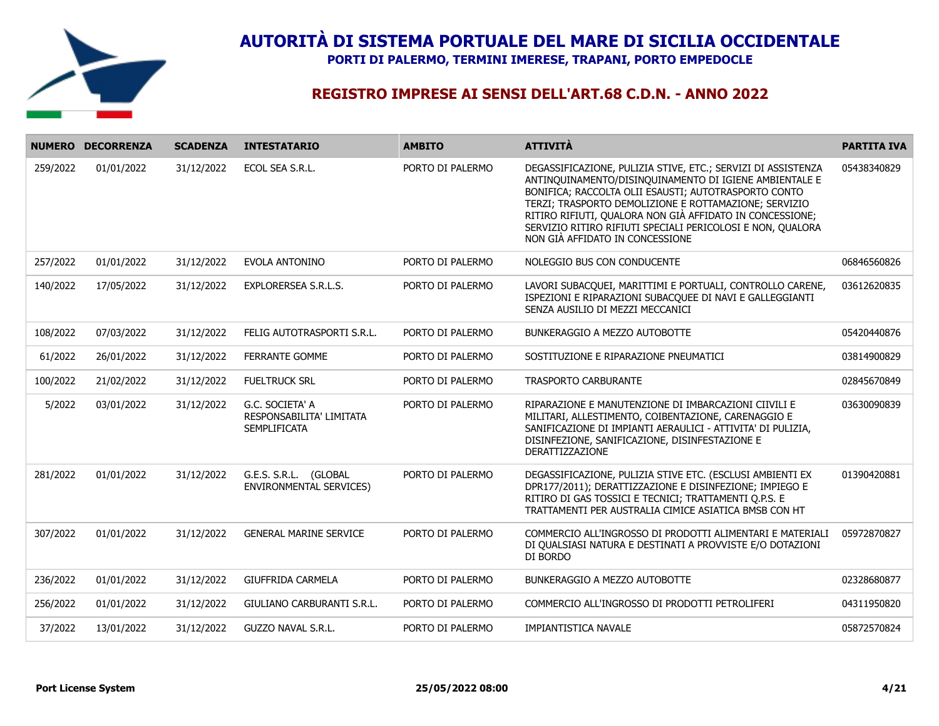

**PORTI DI PALERMO, TERMINI IMERESE, TRAPANI, PORTO EMPEDOCLE**

|          | NUMERO DECORRENZA | <b>SCADENZA</b> | <b>INTESTATARIO</b>                                                | <b>AMBITO</b>    | <b>ATTIVITÀ</b>                                                                                                                                                                                                                                                                                                                                                                                      | <b>PARTITA IVA</b> |
|----------|-------------------|-----------------|--------------------------------------------------------------------|------------------|------------------------------------------------------------------------------------------------------------------------------------------------------------------------------------------------------------------------------------------------------------------------------------------------------------------------------------------------------------------------------------------------------|--------------------|
| 259/2022 | 01/01/2022        | 31/12/2022      | ECOL SEA S.R.L.                                                    | PORTO DI PALERMO | DEGASSIFICAZIONE, PULIZIA STIVE, ETC.; SERVIZI DI ASSISTENZA<br>ANTINQUINAMENTO/DISINQUINAMENTO DI IGIENE AMBIENTALE E<br>BONIFICA; RACCOLTA OLII ESAUSTI; AUTOTRASPORTO CONTO<br>TERZI; TRASPORTO DEMOLIZIONE E ROTTAMAZIONE; SERVIZIO<br>RITIRO RIFIUTI, QUALORA NON GIÀ AFFIDATO IN CONCESSIONE;<br>SERVIZIO RITIRO RIFIUTI SPECIALI PERICOLOSI E NON, QUALORA<br>NON GIÀ AFFIDATO IN CONCESSIONE | 05438340829        |
| 257/2022 | 01/01/2022        | 31/12/2022      | EVOLA ANTONINO                                                     | PORTO DI PALERMO | NOLEGGIO BUS CON CONDUCENTE                                                                                                                                                                                                                                                                                                                                                                          | 06846560826        |
| 140/2022 | 17/05/2022        | 31/12/2022      | EXPLORERSEA S.R.L.S.                                               | PORTO DI PALERMO | LAVORI SUBACQUEI, MARITTIMI E PORTUALI, CONTROLLO CARENE,<br>ISPEZIONI E RIPARAZIONI SUBACQUEE DI NAVI E GALLEGGIANTI<br>SENZA AUSILIO DI MEZZI MECCANICI                                                                                                                                                                                                                                            | 03612620835        |
| 108/2022 | 07/03/2022        | 31/12/2022      | FELIG AUTOTRASPORTI S.R.L.                                         | PORTO DI PALERMO | BUNKERAGGIO A MEZZO AUTOBOTTE                                                                                                                                                                                                                                                                                                                                                                        | 05420440876        |
| 61/2022  | 26/01/2022        | 31/12/2022      | FERRANTE GOMME                                                     | PORTO DI PALERMO | SOSTITUZIONE E RIPARAZIONE PNEUMATICI                                                                                                                                                                                                                                                                                                                                                                | 03814900829        |
| 100/2022 | 21/02/2022        | 31/12/2022      | <b>FUELTRUCK SRL</b>                                               | PORTO DI PALERMO | <b>TRASPORTO CARBURANTE</b>                                                                                                                                                                                                                                                                                                                                                                          | 02845670849        |
| 5/2022   | 03/01/2022        | 31/12/2022      | G.C. SOCIETA' A<br>RESPONSABILITA' LIMITATA<br><b>SEMPLIFICATA</b> | PORTO DI PALERMO | RIPARAZIONE E MANUTENZIONE DI IMBARCAZIONI CIIVILI E<br>MILITARI, ALLESTIMENTO, COIBENTAZIONE, CARENAGGIO E<br>SANIFICAZIONE DI IMPIANTI AERAULICI - ATTIVITA' DI PULIZIA,<br>DISINFEZIONE, SANIFICAZIONE, DISINFESTAZIONE E<br><b>DERATTIZZAZIONE</b>                                                                                                                                               | 03630090839        |
| 281/2022 | 01/01/2022        | 31/12/2022      | G.E.S. S.R.L. (GLOBAL<br><b>ENVIRONMENTAL SERVICES)</b>            | PORTO DI PALERMO | DEGASSIFICAZIONE, PULIZIA STIVE ETC. (ESCLUSI AMBIENTI EX<br>DPR177/2011); DERATTIZZAZIONE E DISINFEZIONE; IMPIEGO E<br>RITIRO DI GAS TOSSICI E TECNICI; TRATTAMENTI Q.P.S. E<br>TRATTAMENTI PER AUSTRALIA CIMICE ASIATICA BMSB CON HT                                                                                                                                                               | 01390420881        |
| 307/2022 | 01/01/2022        | 31/12/2022      | <b>GENERAL MARINE SERVICE</b>                                      | PORTO DI PALERMO | COMMERCIO ALL'INGROSSO DI PRODOTTI ALIMENTARI E MATERIALI<br>DI QUALSIASI NATURA E DESTINATI A PROVVISTE E/O DOTAZIONI<br>DI BORDO                                                                                                                                                                                                                                                                   | 05972870827        |
| 236/2022 | 01/01/2022        | 31/12/2022      | <b>GIUFFRIDA CARMELA</b>                                           | PORTO DI PALERMO | BUNKERAGGIO A MEZZO AUTOBOTTE                                                                                                                                                                                                                                                                                                                                                                        | 02328680877        |
| 256/2022 | 01/01/2022        | 31/12/2022      | GIULIANO CARBURANTI S.R.L.                                         | PORTO DI PALERMO | COMMERCIO ALL'INGROSSO DI PRODOTTI PETROLIFERI                                                                                                                                                                                                                                                                                                                                                       | 04311950820        |
| 37/2022  | 13/01/2022        | 31/12/2022      | GUZZO NAVAL S.R.L.                                                 | PORTO DI PALERMO | IMPIANTISTICA NAVALE                                                                                                                                                                                                                                                                                                                                                                                 | 05872570824        |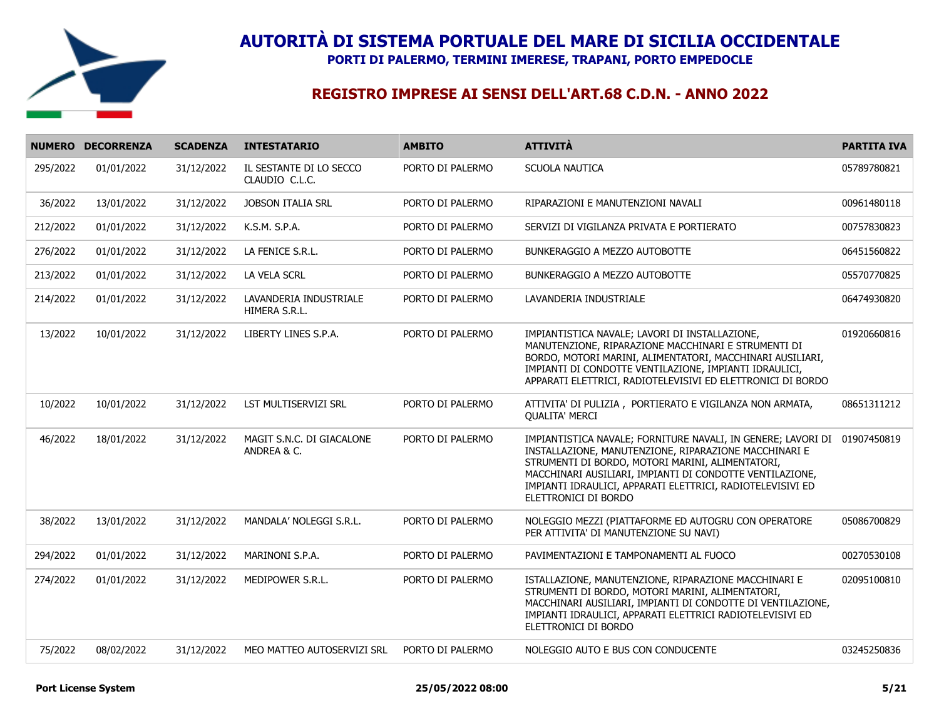

**PORTI DI PALERMO, TERMINI IMERESE, TRAPANI, PORTO EMPEDOCLE**

|          | NUMERO DECORRENZA | <b>SCADENZA</b> | <b>INTESTATARIO</b>                       | <b>AMBITO</b>    | <b>ATTIVITÀ</b>                                                                                                                                                                                                                                                                                                             | <b>PARTITA IVA</b> |
|----------|-------------------|-----------------|-------------------------------------------|------------------|-----------------------------------------------------------------------------------------------------------------------------------------------------------------------------------------------------------------------------------------------------------------------------------------------------------------------------|--------------------|
| 295/2022 | 01/01/2022        | 31/12/2022      | IL SESTANTE DI LO SECCO<br>CLAUDIO C.L.C. | PORTO DI PALERMO | SCUOLA NAUTICA                                                                                                                                                                                                                                                                                                              | 05789780821        |
| 36/2022  | 13/01/2022        | 31/12/2022      | <b>JOBSON ITALIA SRL</b>                  | PORTO DI PALERMO | RIPARAZIONI E MANUTENZIONI NAVALI                                                                                                                                                                                                                                                                                           | 00961480118        |
| 212/2022 | 01/01/2022        | 31/12/2022      | K.S.M. S.P.A.                             | PORTO DI PALERMO | SERVIZI DI VIGILANZA PRIVATA E PORTIERATO                                                                                                                                                                                                                                                                                   | 00757830823        |
| 276/2022 | 01/01/2022        | 31/12/2022      | LA FENICE S.R.L.                          | PORTO DI PALERMO | BUNKERAGGIO A MEZZO AUTOBOTTE                                                                                                                                                                                                                                                                                               | 06451560822        |
| 213/2022 | 01/01/2022        | 31/12/2022      | LA VELA SCRL                              | PORTO DI PALERMO | BUNKERAGGIO A MEZZO AUTOBOTTE                                                                                                                                                                                                                                                                                               | 05570770825        |
| 214/2022 | 01/01/2022        | 31/12/2022      | LAVANDERIA INDUSTRIALE<br>HIMERA S.R.L.   | PORTO DI PALERMO | LAVANDERIA INDUSTRIALE                                                                                                                                                                                                                                                                                                      | 06474930820        |
| 13/2022  | 10/01/2022        | 31/12/2022      | LIBERTY LINES S.P.A.                      | PORTO DI PALERMO | IMPIANTISTICA NAVALE; LAVORI DI INSTALLAZIONE,<br>MANUTENZIONE, RIPARAZIONE MACCHINARI E STRUMENTI DI<br>BORDO, MOTORI MARINI, ALIMENTATORI, MACCHINARI AUSILIARI,<br>IMPIANTI DI CONDOTTE VENTILAZIONE, IMPIANTI IDRAULICI,<br>APPARATI ELETTRICI, RADIOTELEVISIVI ED ELETTRONICI DI BORDO                                 | 01920660816        |
| 10/2022  | 10/01/2022        | 31/12/2022      | LST MULTISERVIZI SRL                      | PORTO DI PALERMO | ATTIVITA' DI PULIZIA, PORTIERATO E VIGILANZA NON ARMATA,<br><b>QUALITA' MERCI</b>                                                                                                                                                                                                                                           | 08651311212        |
| 46/2022  | 18/01/2022        | 31/12/2022      | MAGIT S.N.C. DI GIACALONE<br>ANDREA & C.  | PORTO DI PALERMO | IMPIANTISTICA NAVALE; FORNITURE NAVALI, IN GENERE; LAVORI DI<br>INSTALLAZIONE, MANUTENZIONE, RIPARAZIONE MACCHINARI E<br>STRUMENTI DI BORDO, MOTORI MARINI, ALIMENTATORI,<br>MACCHINARI AUSILIARI, IMPIANTI DI CONDOTTE VENTILAZIONE,<br>IMPIANTI IDRAULICI, APPARATI ELETTRICI, RADIOTELEVISIVI ED<br>ELETTRONICI DI BORDO | 01907450819        |
| 38/2022  | 13/01/2022        | 31/12/2022      | MANDALA' NOLEGGI S.R.L.                   | PORTO DI PALERMO | NOLEGGIO MEZZI (PIATTAFORME ED AUTOGRU CON OPERATORE<br>PER ATTIVITA' DI MANUTENZIONE SU NAVI)                                                                                                                                                                                                                              | 05086700829        |
| 294/2022 | 01/01/2022        | 31/12/2022      | MARINONI S.P.A.                           | PORTO DI PALERMO | PAVIMENTAZIONI E TAMPONAMENTI AL FUOCO                                                                                                                                                                                                                                                                                      | 00270530108        |
| 274/2022 | 01/01/2022        | 31/12/2022      | MEDIPOWER S.R.L.                          | PORTO DI PALERMO | ISTALLAZIONE, MANUTENZIONE, RIPARAZIONE MACCHINARI E<br>STRUMENTI DI BORDO, MOTORI MARINI, ALIMENTATORI,<br>MACCHINARI AUSILIARI, IMPIANTI DI CONDOTTE DI VENTILAZIONE,<br>IMPIANTI IDRAULICI, APPARATI ELETTRICI RADIOTELEVISIVI ED<br>ELETTRONICI DI BORDO                                                                | 02095100810        |
| 75/2022  | 08/02/2022        | 31/12/2022      | MEO MATTEO AUTOSERVIZI SRL                | PORTO DI PALERMO | NOLEGGIO AUTO E BUS CON CONDUCENTE                                                                                                                                                                                                                                                                                          | 03245250836        |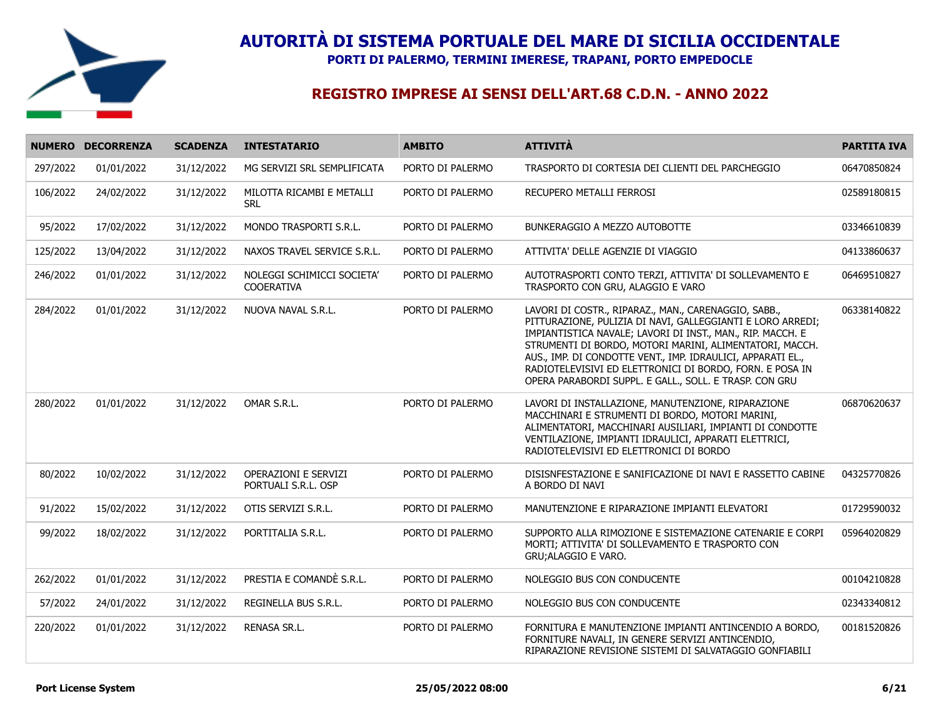

**PORTI DI PALERMO, TERMINI IMERESE, TRAPANI, PORTO EMPEDOCLE**

|          | NUMERO DECORRENZA | <b>SCADENZA</b> | <b>INTESTATARIO</b>                                | <b>AMBITO</b>    | <b>ATTIVITÀ</b>                                                                                                                                                                                                                                                                                                                                                                                                                  | <b>PARTITA IVA</b> |
|----------|-------------------|-----------------|----------------------------------------------------|------------------|----------------------------------------------------------------------------------------------------------------------------------------------------------------------------------------------------------------------------------------------------------------------------------------------------------------------------------------------------------------------------------------------------------------------------------|--------------------|
| 297/2022 | 01/01/2022        | 31/12/2022      | MG SERVIZI SRL SEMPLIFICATA                        | PORTO DI PALERMO | TRASPORTO DI CORTESIA DEI CLIENTI DEL PARCHEGGIO                                                                                                                                                                                                                                                                                                                                                                                 | 06470850824        |
| 106/2022 | 24/02/2022        | 31/12/2022      | MILOTTA RICAMBI E METALLI<br><b>SRL</b>            | PORTO DI PALERMO | RECUPERO METALLI FERROSI                                                                                                                                                                                                                                                                                                                                                                                                         | 02589180815        |
| 95/2022  | 17/02/2022        | 31/12/2022      | MONDO TRASPORTI S.R.L.                             | PORTO DI PALERMO | BUNKERAGGIO A MEZZO AUTOBOTTE                                                                                                                                                                                                                                                                                                                                                                                                    | 03346610839        |
| 125/2022 | 13/04/2022        | 31/12/2022      | NAXOS TRAVEL SERVICE S.R.L.                        | PORTO DI PALERMO | ATTIVITA' DELLE AGENZIE DI VIAGGIO                                                                                                                                                                                                                                                                                                                                                                                               | 04133860637        |
| 246/2022 | 01/01/2022        | 31/12/2022      | NOLEGGI SCHIMICCI SOCIETA'<br><b>COOERATIVA</b>    | PORTO DI PALERMO | AUTOTRASPORTI CONTO TERZI, ATTIVITA' DI SOLLEVAMENTO E<br>TRASPORTO CON GRU, ALAGGIO E VARO                                                                                                                                                                                                                                                                                                                                      | 06469510827        |
| 284/2022 | 01/01/2022        | 31/12/2022      | NUOVA NAVAL S.R.L.                                 | PORTO DI PALERMO | LAVORI DI COSTR., RIPARAZ., MAN., CARENAGGIO, SABB.,<br>PITTURAZIONE, PULIZIA DI NAVI, GALLEGGIANTI E LORO ARREDI:<br>IMPIANTISTICA NAVALE; LAVORI DI INST., MAN., RIP. MACCH. E<br>STRUMENTI DI BORDO, MOTORI MARINI, ALIMENTATORI, MACCH.<br>AUS., IMP. DI CONDOTTE VENT., IMP. IDRAULICI, APPARATI EL.,<br>RADIOTELEVISIVI ED ELETTRONICI DI BORDO, FORN. E POSA IN<br>OPERA PARABORDI SUPPL. E GALL., SOLL. E TRASP. CON GRU | 06338140822        |
| 280/2022 | 01/01/2022        | 31/12/2022      | OMAR S.R.L.                                        | PORTO DI PALERMO | LAVORI DI INSTALLAZIONE, MANUTENZIONE, RIPARAZIONE<br>MACCHINARI E STRUMENTI DI BORDO, MOTORI MARINI,<br>ALIMENTATORI, MACCHINARI AUSILIARI, IMPIANTI DI CONDOTTE<br>VENTILAZIONE, IMPIANTI IDRAULICI, APPARATI ELETTRICI,<br>RADIOTELEVISIVI ED ELETTRONICI DI BORDO                                                                                                                                                            | 06870620637        |
| 80/2022  | 10/02/2022        | 31/12/2022      | <b>OPERAZIONI E SERVIZI</b><br>PORTUALI S.R.L. OSP | PORTO DI PALERMO | DISISNFESTAZIONE E SANIFICAZIONE DI NAVI E RASSETTO CABINE<br>A BORDO DI NAVI                                                                                                                                                                                                                                                                                                                                                    | 04325770826        |
| 91/2022  | 15/02/2022        | 31/12/2022      | OTIS SERVIZI S.R.L.                                | PORTO DI PALERMO | MANUTENZIONE E RIPARAZIONE IMPIANTI ELEVATORI                                                                                                                                                                                                                                                                                                                                                                                    | 01729590032        |
| 99/2022  | 18/02/2022        | 31/12/2022      | PORTITALIA S.R.L.                                  | PORTO DI PALERMO | SUPPORTO ALLA RIMOZIONE E SISTEMAZIONE CATENARIE E CORPI<br>MORTI; ATTIVITA' DI SOLLEVAMENTO E TRASPORTO CON<br>GRU; ALAGGIO E VARO.                                                                                                                                                                                                                                                                                             | 05964020829        |
| 262/2022 | 01/01/2022        | 31/12/2022      | PRESTIA E COMANDÈ S.R.L.                           | PORTO DI PALERMO | NOLEGGIO BUS CON CONDUCENTE                                                                                                                                                                                                                                                                                                                                                                                                      | 00104210828        |
| 57/2022  | 24/01/2022        | 31/12/2022      | REGINELLA BUS S.R.L.                               | PORTO DI PALERMO | NOLEGGIO BUS CON CONDUCENTE                                                                                                                                                                                                                                                                                                                                                                                                      | 02343340812        |
| 220/2022 | 01/01/2022        | 31/12/2022      | RENASA SR.L.                                       | PORTO DI PALERMO | FORNITURA E MANUTENZIONE IMPIANTI ANTINCENDIO A BORDO,<br>FORNITURE NAVALI, IN GENERE SERVIZI ANTINCENDIO,<br>RIPARAZIONE REVISIONE SISTEMI DI SALVATAGGIO GONFIABILI                                                                                                                                                                                                                                                            | 00181520826        |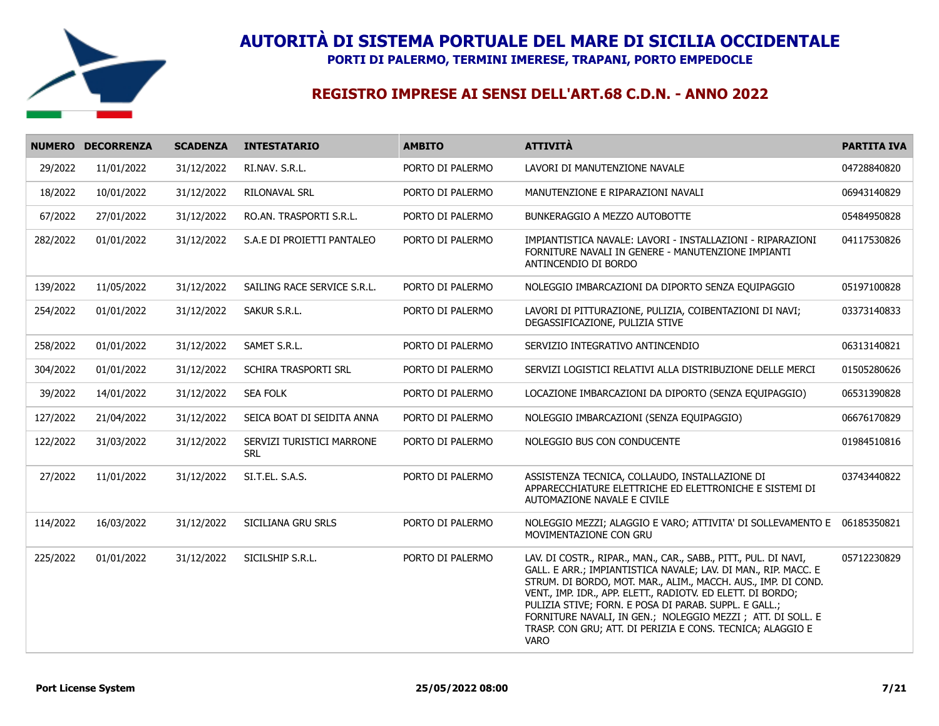

**PORTI DI PALERMO, TERMINI IMERESE, TRAPANI, PORTO EMPEDOCLE**

|          | NUMERO DECORRENZA | <b>SCADENZA</b> | <b>INTESTATARIO</b>                     | <b>AMBITO</b>    | <b>ATTIVITÀ</b>                                                                                                                                                                                                                                                                                                                                                                                                                                                        | <b>PARTITA IVA</b> |
|----------|-------------------|-----------------|-----------------------------------------|------------------|------------------------------------------------------------------------------------------------------------------------------------------------------------------------------------------------------------------------------------------------------------------------------------------------------------------------------------------------------------------------------------------------------------------------------------------------------------------------|--------------------|
| 29/2022  | 11/01/2022        | 31/12/2022      | RI.NAV. S.R.L.                          | PORTO DI PALERMO | LAVORI DI MANUTENZIONE NAVALE                                                                                                                                                                                                                                                                                                                                                                                                                                          | 04728840820        |
| 18/2022  | 10/01/2022        | 31/12/2022      | RILONAVAL SRL                           | PORTO DI PALERMO | MANUTENZIONE E RIPARAZIONI NAVALI                                                                                                                                                                                                                                                                                                                                                                                                                                      | 06943140829        |
| 67/2022  | 27/01/2022        | 31/12/2022      | RO.AN. TRASPORTI S.R.L.                 | PORTO DI PALERMO | BUNKERAGGIO A MEZZO AUTOBOTTE                                                                                                                                                                                                                                                                                                                                                                                                                                          | 05484950828        |
| 282/2022 | 01/01/2022        | 31/12/2022      | S.A.E DI PROIETTI PANTALEO              | PORTO DI PALERMO | IMPIANTISTICA NAVALE: LAVORI - INSTALLAZIONI - RIPARAZIONI<br>FORNITURE NAVALI IN GENERE - MANUTENZIONE IMPIANTI<br>ANTINCENDIO DI BORDO                                                                                                                                                                                                                                                                                                                               | 04117530826        |
| 139/2022 | 11/05/2022        | 31/12/2022      | SAILING RACE SERVICE S.R.L.             | PORTO DI PALERMO | NOLEGGIO IMBARCAZIONI DA DIPORTO SENZA EQUIPAGGIO                                                                                                                                                                                                                                                                                                                                                                                                                      | 05197100828        |
| 254/2022 | 01/01/2022        | 31/12/2022      | SAKUR S.R.L.                            | PORTO DI PALERMO | LAVORI DI PITTURAZIONE, PULIZIA, COIBENTAZIONI DI NAVI;<br>DEGASSIFICAZIONE, PULIZIA STIVE                                                                                                                                                                                                                                                                                                                                                                             | 03373140833        |
| 258/2022 | 01/01/2022        | 31/12/2022      | SAMET S.R.L.                            | PORTO DI PALERMO | SERVIZIO INTEGRATIVO ANTINCENDIO                                                                                                                                                                                                                                                                                                                                                                                                                                       | 06313140821        |
| 304/2022 | 01/01/2022        | 31/12/2022      | SCHIRA TRASPORTI SRL                    | PORTO DI PALERMO | SERVIZI LOGISTICI RELATIVI ALLA DISTRIBUZIONE DELLE MERCI                                                                                                                                                                                                                                                                                                                                                                                                              | 01505280626        |
| 39/2022  | 14/01/2022        | 31/12/2022      | SEA FOLK                                | PORTO DI PALERMO | LOCAZIONE IMBARCAZIONI DA DIPORTO (SENZA EQUIPAGGIO)                                                                                                                                                                                                                                                                                                                                                                                                                   | 06531390828        |
| 127/2022 | 21/04/2022        | 31/12/2022      | SEICA BOAT DI SEIDITA ANNA              | PORTO DI PALERMO | NOLEGGIO IMBARCAZIONI (SENZA EQUIPAGGIO)                                                                                                                                                                                                                                                                                                                                                                                                                               | 06676170829        |
| 122/2022 | 31/03/2022        | 31/12/2022      | SERVIZI TURISTICI MARRONE<br><b>SRL</b> | PORTO DI PALERMO | NOLEGGIO BUS CON CONDUCENTE                                                                                                                                                                                                                                                                                                                                                                                                                                            | 01984510816        |
| 27/2022  | 11/01/2022        | 31/12/2022      | SI.T.EL. S.A.S.                         | PORTO DI PALERMO | ASSISTENZA TECNICA, COLLAUDO, INSTALLAZIONE DI<br>APPARECCHIATURE ELETTRICHE ED ELETTRONICHE E SISTEMI DI<br>AUTOMAZIONE NAVALE E CIVILE                                                                                                                                                                                                                                                                                                                               | 03743440822        |
| 114/2022 | 16/03/2022        | 31/12/2022      | SICILIANA GRU SRLS                      | PORTO DI PALERMO | NOLEGGIO MEZZI; ALAGGIO E VARO; ATTIVITA' DI SOLLEVAMENTO E<br>MOVIMENTAZIONE CON GRU                                                                                                                                                                                                                                                                                                                                                                                  | 06185350821        |
| 225/2022 | 01/01/2022        | 31/12/2022      | SICILSHIP S.R.L.                        | PORTO DI PALERMO | LAV. DI COSTR., RIPAR., MAN., CAR., SABB., PITT., PUL. DI NAVI,<br>GALL. E ARR.; IMPIANTISTICA NAVALE; LAV. DI MAN., RIP. MACC. E<br>STRUM. DI BORDO, MOT. MAR., ALIM., MACCH. AUS., IMP. DI COND.<br>VENT., IMP. IDR., APP. ELETT., RADIOTV. ED ELETT. DI BORDO;<br>PULIZIA STIVE; FORN. E POSA DI PARAB. SUPPL. E GALL.;<br>FORNITURE NAVALI, IN GEN.; NOLEGGIO MEZZI ; ATT. DI SOLL. E<br>TRASP. CON GRU; ATT. DI PERIZIA E CONS. TECNICA; ALAGGIO E<br><b>VARO</b> | 05712230829        |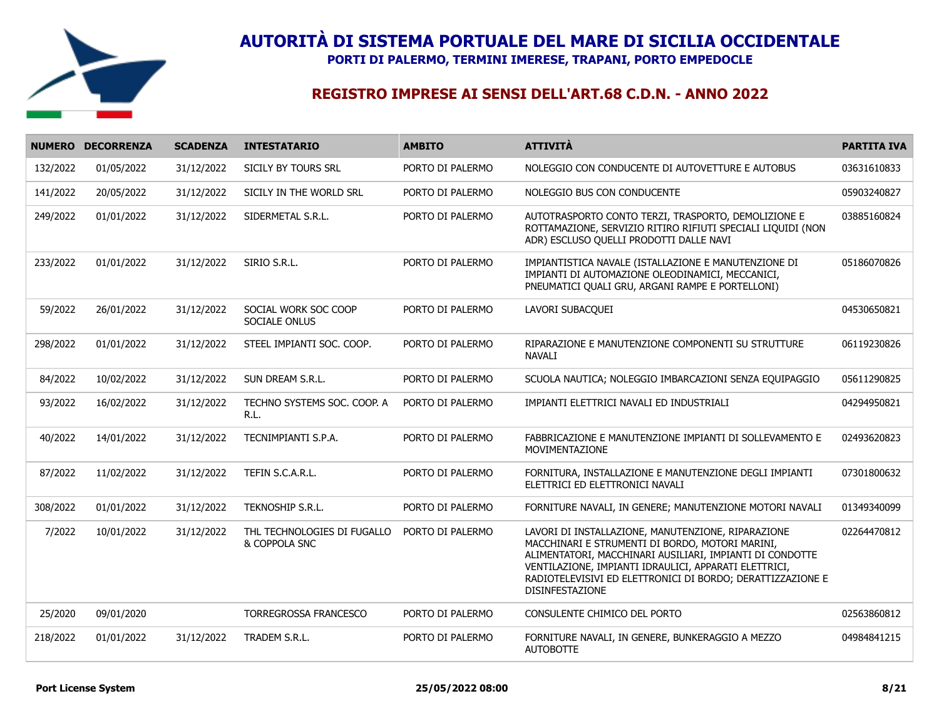

**PORTI DI PALERMO, TERMINI IMERESE, TRAPANI, PORTO EMPEDOCLE**

|          | NUMERO DECORRENZA | <b>SCADENZA</b> | <b>INTESTATARIO</b>                          | <b>AMBITO</b>    | <b>ATTIVITÀ</b>                                                                                                                                                                                                                                                                                             | <b>PARTITA IVA</b> |
|----------|-------------------|-----------------|----------------------------------------------|------------------|-------------------------------------------------------------------------------------------------------------------------------------------------------------------------------------------------------------------------------------------------------------------------------------------------------------|--------------------|
| 132/2022 | 01/05/2022        | 31/12/2022      | SICILY BY TOURS SRL                          | PORTO DI PALERMO | NOLEGGIO CON CONDUCENTE DI AUTOVETTURE E AUTOBUS                                                                                                                                                                                                                                                            | 03631610833        |
| 141/2022 | 20/05/2022        | 31/12/2022      | SICILY IN THE WORLD SRL                      | PORTO DI PALERMO | NOLEGGIO BUS CON CONDUCENTE                                                                                                                                                                                                                                                                                 | 05903240827        |
| 249/2022 | 01/01/2022        | 31/12/2022      | SIDERMETAL S.R.L.                            | PORTO DI PALERMO | AUTOTRASPORTO CONTO TERZI, TRASPORTO, DEMOLIZIONE E<br>ROTTAMAZIONE, SERVIZIO RITIRO RIFIUTI SPECIALI LIQUIDI (NON<br>ADR) ESCLUSO QUELLI PRODOTTI DALLE NAVI                                                                                                                                               | 03885160824        |
| 233/2022 | 01/01/2022        | 31/12/2022      | SIRIO S.R.L.                                 | PORTO DI PALERMO | IMPIANTISTICA NAVALE (ISTALLAZIONE E MANUTENZIONE DI<br>IMPIANTI DI AUTOMAZIONE OLEODINAMICI, MECCANICI,<br>PNEUMATICI QUALI GRU, ARGANI RAMPE E PORTELLONI)                                                                                                                                                | 05186070826        |
| 59/2022  | 26/01/2022        | 31/12/2022      | SOCIAL WORK SOC COOP<br>SOCIALE ONLUS        | PORTO DI PALERMO | LAVORI SUBACQUEI                                                                                                                                                                                                                                                                                            | 04530650821        |
| 298/2022 | 01/01/2022        | 31/12/2022      | STEEL IMPIANTI SOC. COOP.                    | PORTO DI PALERMO | RIPARAZIONE E MANUTENZIONE COMPONENTI SU STRUTTURE<br>NAVALI                                                                                                                                                                                                                                                | 06119230826        |
| 84/2022  | 10/02/2022        | 31/12/2022      | SUN DREAM S.R.L.                             | PORTO DI PALERMO | SCUOLA NAUTICA; NOLEGGIO IMBARCAZIONI SENZA EQUIPAGGIO                                                                                                                                                                                                                                                      | 05611290825        |
| 93/2022  | 16/02/2022        | 31/12/2022      | TECHNO SYSTEMS SOC. COOP. A<br>R.L.          | PORTO DI PALERMO | IMPIANTI ELETTRICI NAVALI ED INDUSTRIALI                                                                                                                                                                                                                                                                    | 04294950821        |
| 40/2022  | 14/01/2022        | 31/12/2022      | TECNIMPIANTI S.P.A.                          | PORTO DI PALERMO | FABBRICAZIONE E MANUTENZIONE IMPIANTI DI SOLLEVAMENTO E<br>MOVIMENTAZIONE                                                                                                                                                                                                                                   | 02493620823        |
| 87/2022  | 11/02/2022        | 31/12/2022      | TEFIN S.C.A.R.L.                             | PORTO DI PALERMO | FORNITURA, INSTALLAZIONE E MANUTENZIONE DEGLI IMPIANTI<br>ELETTRICI ED ELETTRONICI NAVALI                                                                                                                                                                                                                   | 07301800632        |
| 308/2022 | 01/01/2022        | 31/12/2022      | TEKNOSHIP S.R.L.                             | PORTO DI PALERMO | FORNITURE NAVALI, IN GENERE; MANUTENZIONE MOTORI NAVALI                                                                                                                                                                                                                                                     | 01349340099        |
| 7/2022   | 10/01/2022        | 31/12/2022      | THL TECHNOLOGIES DI FUGALLO<br>& COPPOLA SNC | PORTO DI PALERMO | LAVORI DI INSTALLAZIONE, MANUTENZIONE, RIPARAZIONE<br>MACCHINARI E STRUMENTI DI BORDO, MOTORI MARINI,<br>ALIMENTATORI, MACCHINARI AUSILIARI, IMPIANTI DI CONDOTTE<br>VENTILAZIONE, IMPIANTI IDRAULICI, APPARATI ELETTRICI,<br>RADIOTELEVISIVI ED ELETTRONICI DI BORDO; DERATTIZZAZIONE E<br>DISINFESTAZIONE | 02264470812        |
| 25/2020  | 09/01/2020        |                 | <b>TORREGROSSA FRANCESCO</b>                 | PORTO DI PALERMO | CONSULENTE CHIMICO DEL PORTO                                                                                                                                                                                                                                                                                | 02563860812        |
| 218/2022 | 01/01/2022        | 31/12/2022      | TRADEM S.R.L.                                | PORTO DI PALERMO | FORNITURE NAVALI, IN GENERE, BUNKERAGGIO A MEZZO<br><b>AUTOBOTTE</b>                                                                                                                                                                                                                                        | 04984841215        |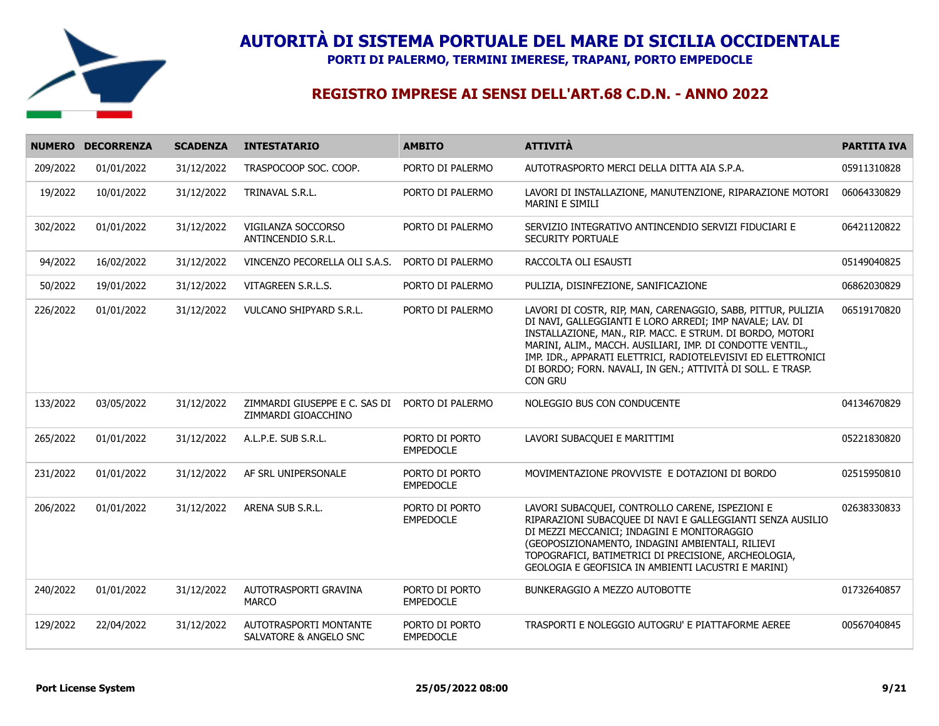

**PORTI DI PALERMO, TERMINI IMERESE, TRAPANI, PORTO EMPEDOCLE**

|          | NUMERO DECORRENZA | <b>SCADENZA</b> | <b>INTESTATARIO</b>                                  | <b>AMBITO</b>                      | <b>ATTIVITÀ</b>                                                                                                                                                                                                                                                                                                                                                                                | <b>PARTITA IVA</b> |
|----------|-------------------|-----------------|------------------------------------------------------|------------------------------------|------------------------------------------------------------------------------------------------------------------------------------------------------------------------------------------------------------------------------------------------------------------------------------------------------------------------------------------------------------------------------------------------|--------------------|
| 209/2022 | 01/01/2022        | 31/12/2022      | TRASPOCOOP SOC. COOP.                                | PORTO DI PALERMO                   | AUTOTRASPORTO MERCI DELLA DITTA AIA S.P.A.                                                                                                                                                                                                                                                                                                                                                     | 05911310828        |
| 19/2022  | 10/01/2022        | 31/12/2022      | TRINAVAL S.R.L.                                      | PORTO DI PALERMO                   | LAVORI DI INSTALLAZIONE, MANUTENZIONE, RIPARAZIONE MOTORI<br><b>MARINI E SIMILI</b>                                                                                                                                                                                                                                                                                                            | 06064330829        |
| 302/2022 | 01/01/2022        | 31/12/2022      | VIGILANZA SOCCORSO<br>ANTINCENDIO S.R.L.             | PORTO DI PALERMO                   | SERVIZIO INTEGRATIVO ANTINCENDIO SERVIZI FIDUCIARI E<br>SECURITY PORTUALE                                                                                                                                                                                                                                                                                                                      | 06421120822        |
| 94/2022  | 16/02/2022        | 31/12/2022      | VINCENZO PECORELLA OLI S.A.S.                        | PORTO DI PALERMO                   | RACCOLTA OLI ESAUSTI                                                                                                                                                                                                                                                                                                                                                                           | 05149040825        |
| 50/2022  | 19/01/2022        | 31/12/2022      | VITAGREEN S.R.L.S.                                   | PORTO DI PALERMO                   | PULIZIA, DISINFEZIONE, SANIFICAZIONE                                                                                                                                                                                                                                                                                                                                                           | 06862030829        |
| 226/2022 | 01/01/2022        | 31/12/2022      | VULCANO SHIPYARD S.R.L.                              | PORTO DI PALERMO                   | LAVORI DI COSTR, RIP, MAN, CARENAGGIO, SABB, PITTUR, PULIZIA<br>DI NAVI, GALLEGGIANTI E LORO ARREDI; IMP NAVALE; LAV. DI<br>INSTALLAZIONE, MAN., RIP. MACC. E STRUM. DI BORDO, MOTORI<br>MARINI, ALIM., MACCH. AUSILIARI, IMP. DI CONDOTTE VENTIL.,<br>IMP. IDR., APPARATI ELETTRICI, RADIOTELEVISIVI ED ELETTRONICI<br>DI BORDO; FORN. NAVALI, IN GEN.; ATTIVITÀ DI SOLL. E TRASP.<br>CON GRU | 06519170820        |
| 133/2022 | 03/05/2022        | 31/12/2022      | ZIMMARDI GIUSEPPE E C. SAS DI<br>ZIMMARDI GIOACCHINO | PORTO DI PALERMO                   | NOLEGGIO BUS CON CONDUCENTE                                                                                                                                                                                                                                                                                                                                                                    | 04134670829        |
| 265/2022 | 01/01/2022        | 31/12/2022      | A.L.P.E. SUB S.R.L.                                  | PORTO DI PORTO<br><b>EMPEDOCLE</b> | LAVORI SUBACQUEI E MARITTIMI                                                                                                                                                                                                                                                                                                                                                                   | 05221830820        |
| 231/2022 | 01/01/2022        | 31/12/2022      | AF SRL UNIPERSONALE                                  | PORTO DI PORTO<br><b>EMPEDOCLE</b> | MOVIMENTAZIONE PROVVISTE E DOTAZIONI DI BORDO                                                                                                                                                                                                                                                                                                                                                  | 02515950810        |
| 206/2022 | 01/01/2022        | 31/12/2022      | ARENA SUB S.R.L.                                     | PORTO DI PORTO<br><b>EMPEDOCLE</b> | LAVORI SUBACQUEI, CONTROLLO CARENE, ISPEZIONI E<br>RIPARAZIONI SUBACQUEE DI NAVI E GALLEGGIANTI SENZA AUSILIO<br>DI MEZZI MECCANICI; INDAGINI E MONITORAGGIO<br>(GEOPOSIZIONAMENTO, INDAGINI AMBIENTALI, RILIEVI<br>TOPOGRAFICI, BATIMETRICI DI PRECISIONE, ARCHEOLOGIA,<br>GEOLOGIA E GEOFISICA IN AMBIENTI LACUSTRI E MARINI)                                                                | 02638330833        |
| 240/2022 | 01/01/2022        | 31/12/2022      | AUTOTRASPORTI GRAVINA<br><b>MARCO</b>                | PORTO DI PORTO<br><b>EMPEDOCLE</b> | BUNKERAGGIO A MEZZO AUTOBOTTE                                                                                                                                                                                                                                                                                                                                                                  | 01732640857        |
| 129/2022 | 22/04/2022        | 31/12/2022      | AUTOTRASPORTI MONTANTE<br>SALVATORE & ANGELO SNC     | PORTO DI PORTO<br><b>EMPEDOCLE</b> | TRASPORTI E NOLEGGIO AUTOGRU' E PIATTAFORME AEREE                                                                                                                                                                                                                                                                                                                                              | 00567040845        |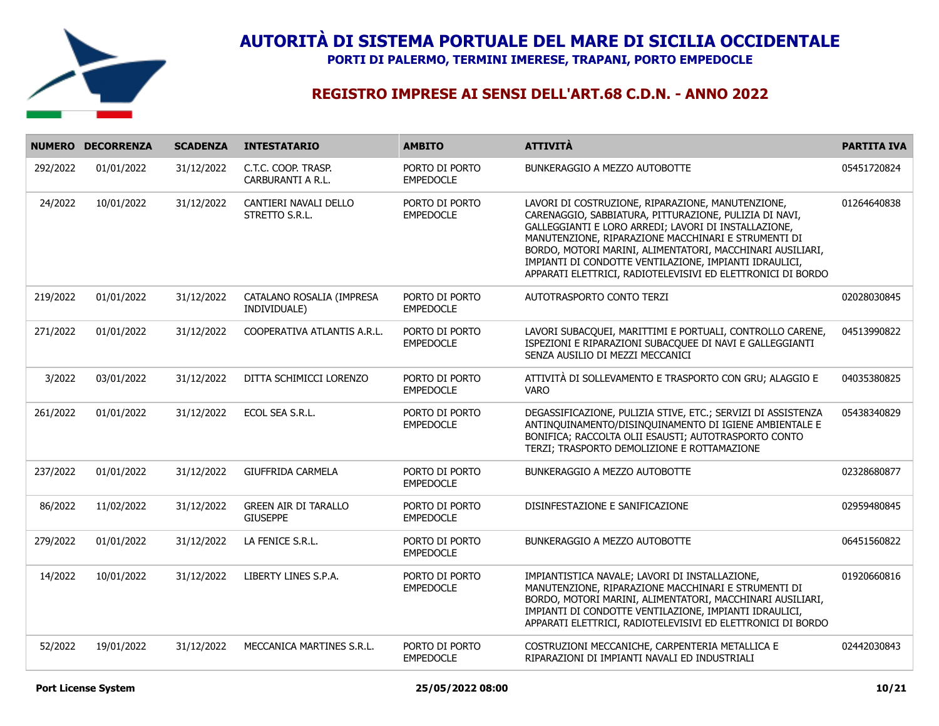

**PORTI DI PALERMO, TERMINI IMERESE, TRAPANI, PORTO EMPEDOCLE**

|          | NUMERO DECORRENZA | <b>SCADENZA</b> | <b>INTESTATARIO</b>                            | <b>AMBITO</b>                      | <b>ATTIVITÀ</b>                                                                                                                                                                                                                                                                                                                                                                                                  | <b>PARTITA IVA</b> |
|----------|-------------------|-----------------|------------------------------------------------|------------------------------------|------------------------------------------------------------------------------------------------------------------------------------------------------------------------------------------------------------------------------------------------------------------------------------------------------------------------------------------------------------------------------------------------------------------|--------------------|
| 292/2022 | 01/01/2022        | 31/12/2022      | C.T.C. COOP. TRASP.<br>CARBURANTI A R.L.       | PORTO DI PORTO<br><b>EMPEDOCLE</b> | BUNKERAGGIO A MEZZO AUTOBOTTE                                                                                                                                                                                                                                                                                                                                                                                    | 05451720824        |
| 24/2022  | 10/01/2022        | 31/12/2022      | CANTIERI NAVALI DELLO<br>STRETTO S.R.L.        | PORTO DI PORTO<br><b>EMPEDOCLE</b> | LAVORI DI COSTRUZIONE, RIPARAZIONE, MANUTENZIONE,<br>CARENAGGIO, SABBIATURA, PITTURAZIONE, PULIZIA DI NAVI,<br>GALLEGGIANTI E LORO ARREDI; LAVORI DI INSTALLAZIONE,<br>MANUTENZIONE, RIPARAZIONE MACCHINARI E STRUMENTI DI<br>BORDO, MOTORI MARINI, ALIMENTATORI, MACCHINARI AUSILIARI,<br>IMPIANTI DI CONDOTTE VENTILAZIONE, IMPIANTI IDRAULICI,<br>APPARATI ELETTRICI, RADIOTELEVISIVI ED ELETTRONICI DI BORDO | 01264640838        |
| 219/2022 | 01/01/2022        | 31/12/2022      | CATALANO ROSALIA (IMPRESA<br>INDIVIDUALE)      | PORTO DI PORTO<br><b>EMPEDOCLE</b> | AUTOTRASPORTO CONTO TERZI                                                                                                                                                                                                                                                                                                                                                                                        | 02028030845        |
| 271/2022 | 01/01/2022        | 31/12/2022      | COOPERATIVA ATLANTIS A.R.L.                    | PORTO DI PORTO<br><b>EMPEDOCLE</b> | LAVORI SUBACQUEI, MARITTIMI E PORTUALI, CONTROLLO CARENE,<br>ISPEZIONI E RIPARAZIONI SUBACQUEE DI NAVI E GALLEGGIANTI<br>SENZA AUSILIO DI MEZZI MECCANICI                                                                                                                                                                                                                                                        | 04513990822        |
| 3/2022   | 03/01/2022        | 31/12/2022      | DITTA SCHIMICCI LORENZO                        | PORTO DI PORTO<br><b>EMPEDOCLE</b> | ATTIVITÀ DI SOLLEVAMENTO E TRASPORTO CON GRU; ALAGGIO E<br><b>VARO</b>                                                                                                                                                                                                                                                                                                                                           | 04035380825        |
| 261/2022 | 01/01/2022        | 31/12/2022      | ECOL SEA S.R.L.                                | PORTO DI PORTO<br><b>EMPEDOCLE</b> | DEGASSIFICAZIONE, PULIZIA STIVE, ETC.; SERVIZI DI ASSISTENZA<br>ANTINQUINAMENTO/DISINQUINAMENTO DI IGIENE AMBIENTALE E<br>BONIFICA; RACCOLTA OLII ESAUSTI; AUTOTRASPORTO CONTO<br>TERZI; TRASPORTO DEMOLIZIONE E ROTTAMAZIONE                                                                                                                                                                                    | 05438340829        |
| 237/2022 | 01/01/2022        | 31/12/2022      | <b>GIUFFRIDA CARMELA</b>                       | PORTO DI PORTO<br><b>EMPEDOCLE</b> | BUNKERAGGIO A MEZZO AUTOBOTTE                                                                                                                                                                                                                                                                                                                                                                                    | 02328680877        |
| 86/2022  | 11/02/2022        | 31/12/2022      | <b>GREEN AIR DI TARALLO</b><br><b>GIUSEPPE</b> | PORTO DI PORTO<br><b>EMPEDOCLE</b> | DISINFESTAZIONE E SANIFICAZIONE                                                                                                                                                                                                                                                                                                                                                                                  | 02959480845        |
| 279/2022 | 01/01/2022        | 31/12/2022      | LA FENICE S.R.L.                               | PORTO DI PORTO<br><b>EMPEDOCLE</b> | BUNKERAGGIO A MEZZO AUTOBOTTE                                                                                                                                                                                                                                                                                                                                                                                    | 06451560822        |
| 14/2022  | 10/01/2022        | 31/12/2022      | LIBERTY LINES S.P.A.                           | PORTO DI PORTO<br><b>EMPEDOCLE</b> | IMPIANTISTICA NAVALE; LAVORI DI INSTALLAZIONE,<br>MANUTENZIONE, RIPARAZIONE MACCHINARI E STRUMENTI DI<br>BORDO, MOTORI MARINI, ALIMENTATORI, MACCHINARI AUSILIARI,<br>IMPIANTI DI CONDOTTE VENTILAZIONE, IMPIANTI IDRAULICI,<br>APPARATI ELETTRICI, RADIOTELEVISIVI ED ELETTRONICI DI BORDO                                                                                                                      | 01920660816        |
| 52/2022  | 19/01/2022        | 31/12/2022      | MECCANICA MARTINES S.R.L.                      | PORTO DI PORTO<br><b>EMPEDOCLE</b> | COSTRUZIONI MECCANICHE, CARPENTERIA METALLICA E<br>RIPARAZIONI DI IMPIANTI NAVALI ED INDUSTRIALI                                                                                                                                                                                                                                                                                                                 | 02442030843        |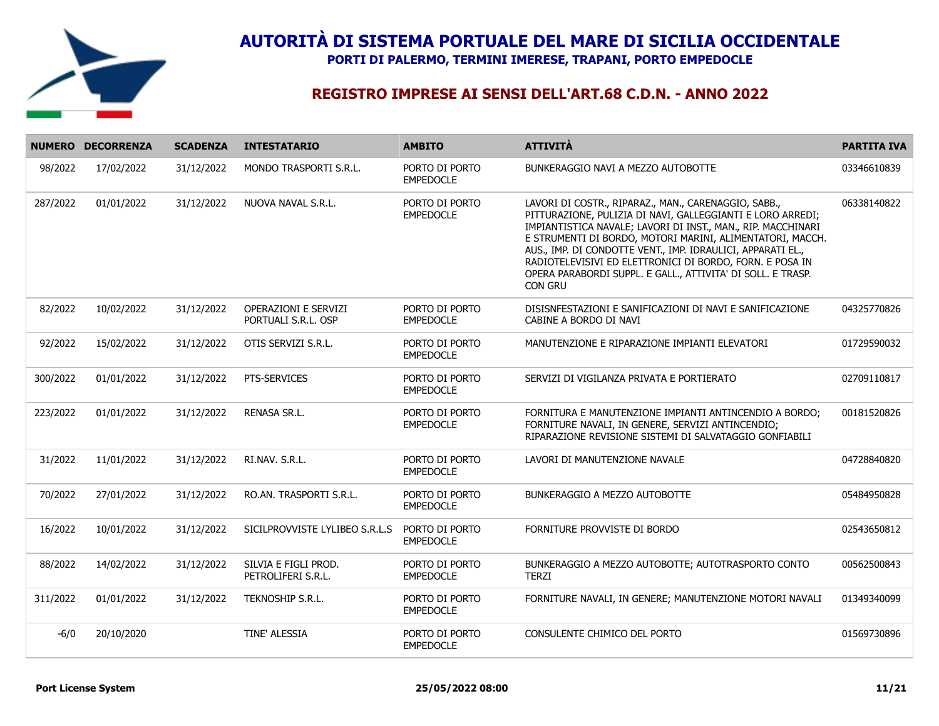

**PORTI DI PALERMO, TERMINI IMERESE, TRAPANI, PORTO EMPEDOCLE**

|          | NUMERO DECORRENZA | <b>SCADENZA</b> | <b>INTESTATARIO</b>                                | <b>AMBITO</b>                      | <b>ATTIVITÀ</b>                                                                                                                                                                                                                                                                                                                                                                                                                                      | <b>PARTITA IVA</b> |
|----------|-------------------|-----------------|----------------------------------------------------|------------------------------------|------------------------------------------------------------------------------------------------------------------------------------------------------------------------------------------------------------------------------------------------------------------------------------------------------------------------------------------------------------------------------------------------------------------------------------------------------|--------------------|
| 98/2022  | 17/02/2022        | 31/12/2022      | MONDO TRASPORTI S.R.L.                             | PORTO DI PORTO<br><b>EMPEDOCLE</b> | BUNKERAGGIO NAVI A MEZZO AUTOBOTTE                                                                                                                                                                                                                                                                                                                                                                                                                   | 03346610839        |
| 287/2022 | 01/01/2022        | 31/12/2022      | NUOVA NAVAL S.R.L.                                 | PORTO DI PORTO<br><b>EMPEDOCLE</b> | LAVORI DI COSTR., RIPARAZ., MAN., CARENAGGIO, SABB.,<br>PITTURAZIONE, PULIZIA DI NAVI, GALLEGGIANTI E LORO ARREDI;<br>IMPIANTISTICA NAVALE; LAVORI DI INST., MAN., RIP. MACCHINARI<br>E STRUMENTI DI BORDO, MOTORI MARINI, ALIMENTATORI, MACCH.<br>AUS., IMP. DI CONDOTTE VENT., IMP. IDRAULICI, APPARATI EL.,<br>RADIOTELEVISIVI ED ELETTRONICI DI BORDO, FORN. E POSA IN<br>OPERA PARABORDI SUPPL. E GALL., ATTIVITA' DI SOLL. E TRASP.<br>CON GRU | 06338140822        |
| 82/2022  | 10/02/2022        | 31/12/2022      | <b>OPERAZIONI E SERVIZI</b><br>PORTUALI S.R.L. OSP | PORTO DI PORTO<br><b>EMPEDOCLE</b> | DISISNFESTAZIONI E SANIFICAZIONI DI NAVI E SANIFICAZIONE<br>CABINE A BORDO DI NAVI                                                                                                                                                                                                                                                                                                                                                                   | 04325770826        |
| 92/2022  | 15/02/2022        | 31/12/2022      | OTIS SERVIZI S.R.L.                                | PORTO DI PORTO<br><b>EMPEDOCLE</b> | MANUTENZIONE E RIPARAZIONE IMPIANTI ELEVATORI                                                                                                                                                                                                                                                                                                                                                                                                        | 01729590032        |
| 300/2022 | 01/01/2022        | 31/12/2022      | PTS-SERVICES                                       | PORTO DI PORTO<br><b>EMPEDOCLE</b> | SERVIZI DI VIGILANZA PRIVATA E PORTIERATO                                                                                                                                                                                                                                                                                                                                                                                                            | 02709110817        |
| 223/2022 | 01/01/2022        | 31/12/2022      | RENASA SR.L.                                       | PORTO DI PORTO<br><b>EMPEDOCLE</b> | FORNITURA E MANUTENZIONE IMPIANTI ANTINCENDIO A BORDO;<br>FORNITURE NAVALI, IN GENERE, SERVIZI ANTINCENDIO;<br>RIPARAZIONE REVISIONE SISTEMI DI SALVATAGGIO GONFIABILI                                                                                                                                                                                                                                                                               | 00181520826        |
| 31/2022  | 11/01/2022        | 31/12/2022      | RI.NAV. S.R.L.                                     | PORTO DI PORTO<br><b>EMPEDOCLE</b> | LAVORI DI MANUTENZIONE NAVALE                                                                                                                                                                                                                                                                                                                                                                                                                        | 04728840820        |
| 70/2022  | 27/01/2022        | 31/12/2022      | RO.AN. TRASPORTI S.R.L.                            | PORTO DI PORTO<br><b>EMPEDOCLE</b> | BUNKERAGGIO A MEZZO AUTOBOTTE                                                                                                                                                                                                                                                                                                                                                                                                                        | 05484950828        |
| 16/2022  | 10/01/2022        | 31/12/2022      | SICILPROVVISTE LYLIBEO S.R.L.S                     | PORTO DI PORTO<br><b>EMPEDOCLE</b> | FORNITURE PROVVISTE DI BORDO                                                                                                                                                                                                                                                                                                                                                                                                                         | 02543650812        |
| 88/2022  | 14/02/2022        | 31/12/2022      | SILVIA E FIGLI PROD.<br>PETROLIFERI S.R.L.         | PORTO DI PORTO<br><b>EMPEDOCLE</b> | BUNKERAGGIO A MEZZO AUTOBOTTE; AUTOTRASPORTO CONTO<br><b>TERZI</b>                                                                                                                                                                                                                                                                                                                                                                                   | 00562500843        |
| 311/2022 | 01/01/2022        | 31/12/2022      | TEKNOSHIP S.R.L.                                   | PORTO DI PORTO<br><b>EMPEDOCLE</b> | FORNITURE NAVALI, IN GENERE; MANUTENZIONE MOTORI NAVALI                                                                                                                                                                                                                                                                                                                                                                                              | 01349340099        |
| $-6/0$   | 20/10/2020        |                 | TINE' ALESSIA                                      | PORTO DI PORTO<br><b>EMPEDOCLE</b> | CONSULENTE CHIMICO DEL PORTO                                                                                                                                                                                                                                                                                                                                                                                                                         | 01569730896        |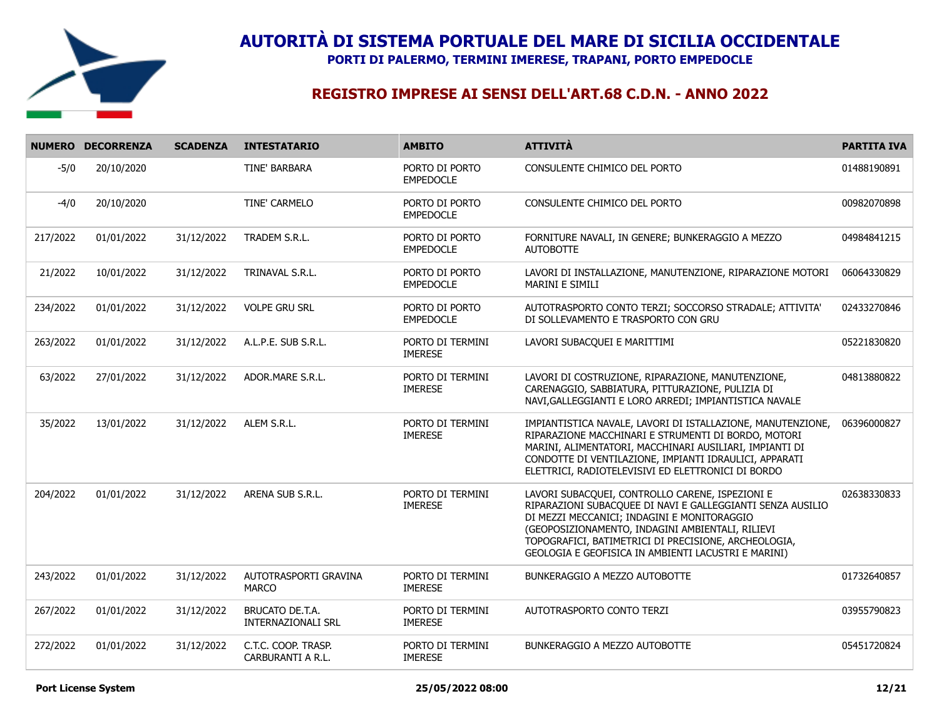

**PORTI DI PALERMO, TERMINI IMERESE, TRAPANI, PORTO EMPEDOCLE**

|          | NUMERO DECORRENZA | <b>SCADENZA</b> | <b>INTESTATARIO</b>                          | <b>AMBITO</b>                      | <b>ATTIVITÀ</b>                                                                                                                                                                                                                                                                                                                 | <b>PARTITA IVA</b> |
|----------|-------------------|-----------------|----------------------------------------------|------------------------------------|---------------------------------------------------------------------------------------------------------------------------------------------------------------------------------------------------------------------------------------------------------------------------------------------------------------------------------|--------------------|
| $-5/0$   | 20/10/2020        |                 | TINE' BARBARA                                | PORTO DI PORTO<br><b>EMPEDOCLE</b> | CONSULENTE CHIMICO DEL PORTO                                                                                                                                                                                                                                                                                                    | 01488190891        |
| $-4/0$   | 20/10/2020        |                 | TINE' CARMELO                                | PORTO DI PORTO<br><b>EMPEDOCLE</b> | CONSULENTE CHIMICO DEL PORTO                                                                                                                                                                                                                                                                                                    | 00982070898        |
| 217/2022 | 01/01/2022        | 31/12/2022      | TRADEM S.R.L.                                | PORTO DI PORTO<br><b>EMPEDOCLE</b> | FORNITURE NAVALI, IN GENERE; BUNKERAGGIO A MEZZO<br><b>AUTOBOTTE</b>                                                                                                                                                                                                                                                            | 04984841215        |
| 21/2022  | 10/01/2022        | 31/12/2022      | TRINAVAL S.R.L.                              | PORTO DI PORTO<br><b>EMPEDOCLE</b> | LAVORI DI INSTALLAZIONE, MANUTENZIONE, RIPARAZIONE MOTORI<br><b>MARINI E SIMILI</b>                                                                                                                                                                                                                                             | 06064330829        |
| 234/2022 | 01/01/2022        | 31/12/2022      | <b>VOLPE GRU SRL</b>                         | PORTO DI PORTO<br><b>EMPEDOCLE</b> | AUTOTRASPORTO CONTO TERZI; SOCCORSO STRADALE; ATTIVITA'<br>DI SOLLEVAMENTO E TRASPORTO CON GRU                                                                                                                                                                                                                                  | 02433270846        |
| 263/2022 | 01/01/2022        | 31/12/2022      | A.L.P.E. SUB S.R.L.                          | PORTO DI TERMINI<br><b>IMERESE</b> | LAVORI SUBACQUEI E MARITTIMI                                                                                                                                                                                                                                                                                                    | 05221830820        |
| 63/2022  | 27/01/2022        | 31/12/2022      | ADOR.MARE S.R.L.                             | PORTO DI TERMINI<br><b>IMERESE</b> | LAVORI DI COSTRUZIONE, RIPARAZIONE, MANUTENZIONE,<br>CARENAGGIO, SABBIATURA, PITTURAZIONE, PULIZIA DI<br>NAVI, GALLEGGIANTI E LORO ARREDI; IMPIANTISTICA NAVALE                                                                                                                                                                 | 04813880822        |
| 35/2022  | 13/01/2022        | 31/12/2022      | ALEM S.R.L.                                  | PORTO DI TERMINI<br><b>IMERESE</b> | IMPIANTISTICA NAVALE, LAVORI DI ISTALLAZIONE, MANUTENZIONE,<br>RIPARAZIONE MACCHINARI E STRUMENTI DI BORDO, MOTORI<br>MARINI, ALIMENTATORI, MACCHINARI AUSILIARI, IMPIANTI DI<br>CONDOTTE DI VENTILAZIONE, IMPIANTI IDRAULICI, APPARATI<br>ELETTRICI, RADIOTELEVISIVI ED ELETTRONICI DI BORDO                                   | 06396000827        |
| 204/2022 | 01/01/2022        | 31/12/2022      | ARENA SUB S.R.L.                             | PORTO DI TERMINI<br><b>IMERESE</b> | LAVORI SUBACQUEI, CONTROLLO CARENE, ISPEZIONI E<br>RIPARAZIONI SUBACQUEE DI NAVI E GALLEGGIANTI SENZA AUSILIO<br>DI MEZZI MECCANICI; INDAGINI E MONITORAGGIO<br>(GEOPOSIZIONAMENTO, INDAGINI AMBIENTALI, RILIEVI<br>TOPOGRAFICI, BATIMETRICI DI PRECISIONE, ARCHEOLOGIA,<br>GEOLOGIA E GEOFISICA IN AMBIENTI LACUSTRI E MARINI) | 02638330833        |
| 243/2022 | 01/01/2022        | 31/12/2022      | AUTOTRASPORTI GRAVINA<br><b>MARCO</b>        | PORTO DI TERMINI<br><b>IMERESE</b> | BUNKERAGGIO A MEZZO AUTOBOTTE                                                                                                                                                                                                                                                                                                   | 01732640857        |
| 267/2022 | 01/01/2022        | 31/12/2022      | <b>BRUCATO DE.T.A.</b><br>INTERNAZIONALI SRL | PORTO DI TERMINI<br><b>IMERESE</b> | AUTOTRASPORTO CONTO TERZI                                                                                                                                                                                                                                                                                                       | 03955790823        |
| 272/2022 | 01/01/2022        | 31/12/2022      | C.T.C. COOP. TRASP.<br>CARBURANTI A R.L.     | PORTO DI TERMINI<br><b>IMERESE</b> | BUNKERAGGIO A MEZZO AUTOBOTTE                                                                                                                                                                                                                                                                                                   | 05451720824        |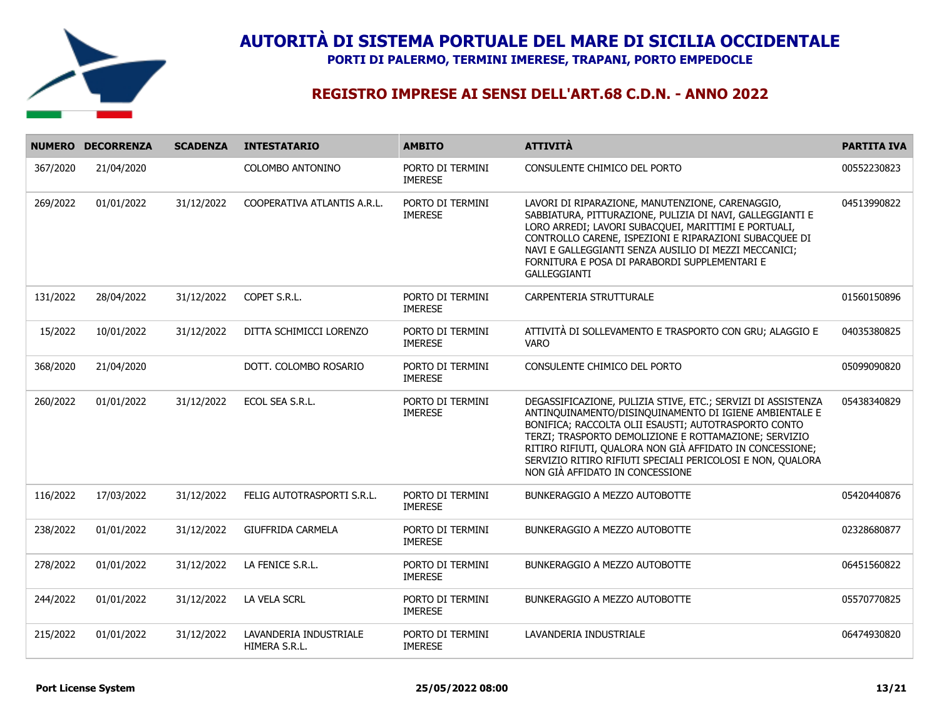

**PORTI DI PALERMO, TERMINI IMERESE, TRAPANI, PORTO EMPEDOCLE**

|          | NUMERO DECORRENZA | <b>SCADENZA</b> | <b>INTESTATARIO</b>                     | <b>AMBITO</b>                      | <b>ATTIVITÀ</b>                                                                                                                                                                                                                                                                                                                                                                                      | <b>PARTITA IVA</b> |
|----------|-------------------|-----------------|-----------------------------------------|------------------------------------|------------------------------------------------------------------------------------------------------------------------------------------------------------------------------------------------------------------------------------------------------------------------------------------------------------------------------------------------------------------------------------------------------|--------------------|
| 367/2020 | 21/04/2020        |                 | COLOMBO ANTONINO                        | PORTO DI TERMINI<br><b>IMERESE</b> | CONSULENTE CHIMICO DEL PORTO                                                                                                                                                                                                                                                                                                                                                                         | 00552230823        |
| 269/2022 | 01/01/2022        | 31/12/2022      | COOPERATIVA ATLANTIS A.R.L.             | PORTO DI TERMINI<br><b>IMERESE</b> | LAVORI DI RIPARAZIONE, MANUTENZIONE, CARENAGGIO,<br>SABBIATURA, PITTURAZIONE, PULIZIA DI NAVI, GALLEGGIANTI E<br>LORO ARREDI; LAVORI SUBACQUEI, MARITTIMI E PORTUALI,<br>CONTROLLO CARENE, ISPEZIONI E RIPARAZIONI SUBACQUEE DI<br>NAVI E GALLEGGIANTI SENZA AUSILIO DI MEZZI MECCANICI;<br>FORNITURA E POSA DI PARABORDI SUPPLEMENTARI E<br><b>GALLEGGIANTI</b>                                     | 04513990822        |
| 131/2022 | 28/04/2022        | 31/12/2022      | COPET S.R.L.                            | PORTO DI TERMINI<br><b>IMERESE</b> | CARPENTERIA STRUTTURALE                                                                                                                                                                                                                                                                                                                                                                              | 01560150896        |
| 15/2022  | 10/01/2022        | 31/12/2022      | DITTA SCHIMICCI LORENZO                 | PORTO DI TERMINI<br><b>IMERESE</b> | ATTIVITÀ DI SOLLEVAMENTO E TRASPORTO CON GRU; ALAGGIO E<br>VARO                                                                                                                                                                                                                                                                                                                                      | 04035380825        |
| 368/2020 | 21/04/2020        |                 | DOTT. COLOMBO ROSARIO                   | PORTO DI TERMINI<br><b>IMERESE</b> | CONSULENTE CHIMICO DEL PORTO                                                                                                                                                                                                                                                                                                                                                                         | 05099090820        |
| 260/2022 | 01/01/2022        | 31/12/2022      | ECOL SEA S.R.L.                         | PORTO DI TERMINI<br><b>IMERESE</b> | DEGASSIFICAZIONE, PULIZIA STIVE, ETC.; SERVIZI DI ASSISTENZA<br>ANTINQUINAMENTO/DISINQUINAMENTO DI IGIENE AMBIENTALE E<br>BONIFICA; RACCOLTA OLII ESAUSTI; AUTOTRASPORTO CONTO<br>TERZI; TRASPORTO DEMOLIZIONE E ROTTAMAZIONE; SERVIZIO<br>RITIRO RIFIUTI, QUALORA NON GIÀ AFFIDATO IN CONCESSIONE;<br>SERVIZIO RITIRO RIFIUTI SPECIALI PERICOLOSI E NON, QUALORA<br>NON GIÀ AFFIDATO IN CONCESSIONE | 05438340829        |
| 116/2022 | 17/03/2022        | 31/12/2022      | FELIG AUTOTRASPORTI S.R.L.              | PORTO DI TERMINI<br><b>IMERESE</b> | <b>BUNKERAGGIO A MEZZO AUTOBOTTE</b>                                                                                                                                                                                                                                                                                                                                                                 | 05420440876        |
| 238/2022 | 01/01/2022        | 31/12/2022      | <b>GIUFFRIDA CARMELA</b>                | PORTO DI TERMINI<br><b>IMERESE</b> | BUNKERAGGIO A MEZZO AUTOBOTTE                                                                                                                                                                                                                                                                                                                                                                        | 02328680877        |
| 278/2022 | 01/01/2022        | 31/12/2022      | LA FENICE S.R.L.                        | PORTO DI TERMINI<br><b>IMERESE</b> | <b>BUNKERAGGIO A MEZZO AUTOBOTTE</b>                                                                                                                                                                                                                                                                                                                                                                 | 06451560822        |
| 244/2022 | 01/01/2022        | 31/12/2022      | LA VELA SCRL                            | PORTO DI TERMINI<br><b>IMERESE</b> | BUNKERAGGIO A MEZZO AUTOBOTTE                                                                                                                                                                                                                                                                                                                                                                        | 05570770825        |
| 215/2022 | 01/01/2022        | 31/12/2022      | LAVANDERIA INDUSTRIALE<br>HIMERA S.R.L. | PORTO DI TERMINI<br><b>IMERESE</b> | LAVANDERIA INDUSTRIALE                                                                                                                                                                                                                                                                                                                                                                               | 06474930820        |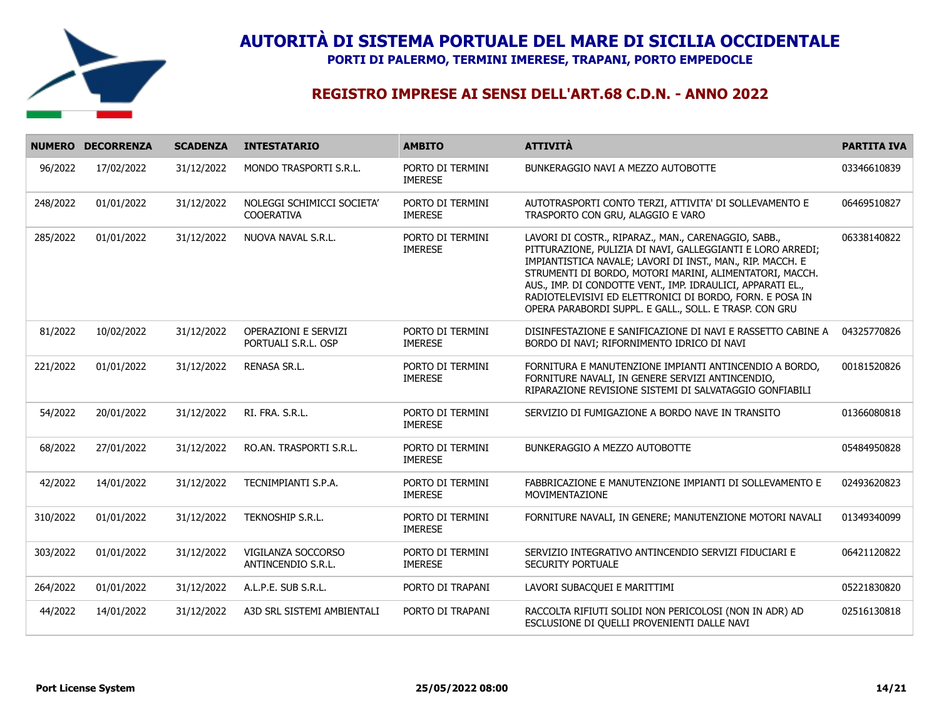

**PORTI DI PALERMO, TERMINI IMERESE, TRAPANI, PORTO EMPEDOCLE**

|          | NUMERO DECORRENZA | <b>SCADENZA</b> | <b>INTESTATARIO</b>                                | <b>AMBITO</b>                      | <b>ATTIVITÀ</b>                                                                                                                                                                                                                                                                                                                                                                                                                  | <b>PARTITA IVA</b> |
|----------|-------------------|-----------------|----------------------------------------------------|------------------------------------|----------------------------------------------------------------------------------------------------------------------------------------------------------------------------------------------------------------------------------------------------------------------------------------------------------------------------------------------------------------------------------------------------------------------------------|--------------------|
| 96/2022  | 17/02/2022        | 31/12/2022      | MONDO TRASPORTI S.R.L.                             | PORTO DI TERMINI<br><b>IMERESE</b> | BUNKERAGGIO NAVI A MEZZO AUTOBOTTE                                                                                                                                                                                                                                                                                                                                                                                               | 03346610839        |
| 248/2022 | 01/01/2022        | 31/12/2022      | NOLEGGI SCHIMICCI SOCIETA'<br><b>COOERATIVA</b>    | PORTO DI TERMINI<br><b>IMERESE</b> | AUTOTRASPORTI CONTO TERZI, ATTIVITA' DI SOLLEVAMENTO E<br>TRASPORTO CON GRU, ALAGGIO E VARO                                                                                                                                                                                                                                                                                                                                      | 06469510827        |
| 285/2022 | 01/01/2022        | 31/12/2022      | NUOVA NAVAL S.R.L.                                 | PORTO DI TERMINI<br><b>IMERESE</b> | LAVORI DI COSTR., RIPARAZ., MAN., CARENAGGIO, SABB.,<br>PITTURAZIONE, PULIZIA DI NAVI, GALLEGGIANTI E LORO ARREDI;<br>IMPIANTISTICA NAVALE; LAVORI DI INST., MAN., RIP. MACCH. E<br>STRUMENTI DI BORDO, MOTORI MARINI, ALIMENTATORI, MACCH.<br>AUS., IMP. DI CONDOTTE VENT., IMP. IDRAULICI, APPARATI EL.,<br>RADIOTELEVISIVI ED ELETTRONICI DI BORDO, FORN. E POSA IN<br>OPERA PARABORDI SUPPL. E GALL., SOLL. E TRASP. CON GRU | 06338140822        |
| 81/2022  | 10/02/2022        | 31/12/2022      | <b>OPERAZIONI E SERVIZI</b><br>PORTUALI S.R.L. OSP | PORTO DI TERMINI<br><b>IMERESE</b> | DISINFESTAZIONE E SANIFICAZIONE DI NAVI E RASSETTO CABINE A<br>BORDO DI NAVI; RIFORNIMENTO IDRICO DI NAVI                                                                                                                                                                                                                                                                                                                        | 04325770826        |
| 221/2022 | 01/01/2022        | 31/12/2022      | <b>RENASA SR.L.</b>                                | PORTO DI TERMINI<br><b>IMERESE</b> | FORNITURA E MANUTENZIONE IMPIANTI ANTINCENDIO A BORDO,<br>FORNITURE NAVALI, IN GENERE SERVIZI ANTINCENDIO,<br>RIPARAZIONE REVISIONE SISTEMI DI SALVATAGGIO GONFIABILI                                                                                                                                                                                                                                                            | 00181520826        |
| 54/2022  | 20/01/2022        | 31/12/2022      | RI. FRA. S.R.L.                                    | PORTO DI TERMINI<br><b>IMERESE</b> | SERVIZIO DI FUMIGAZIONE A BORDO NAVE IN TRANSITO                                                                                                                                                                                                                                                                                                                                                                                 | 01366080818        |
| 68/2022  | 27/01/2022        | 31/12/2022      | RO.AN. TRASPORTI S.R.L.                            | PORTO DI TERMINI<br><b>IMERESE</b> | BUNKERAGGIO A MEZZO AUTOBOTTE                                                                                                                                                                                                                                                                                                                                                                                                    | 05484950828        |
| 42/2022  | 14/01/2022        | 31/12/2022      | TECNIMPIANTI S.P.A.                                | PORTO DI TERMINI<br><b>IMERESE</b> | FABBRICAZIONE E MANUTENZIONE IMPIANTI DI SOLLEVAMENTO E<br>MOVIMENTAZIONE                                                                                                                                                                                                                                                                                                                                                        | 02493620823        |
| 310/2022 | 01/01/2022        | 31/12/2022      | <b>TEKNOSHIP S.R.L.</b>                            | PORTO DI TERMINI<br><b>IMERESE</b> | FORNITURE NAVALI, IN GENERE; MANUTENZIONE MOTORI NAVALI                                                                                                                                                                                                                                                                                                                                                                          | 01349340099        |
| 303/2022 | 01/01/2022        | 31/12/2022      | VIGILANZA SOCCORSO<br>ANTINCENDIO S.R.L.           | PORTO DI TERMINI<br><b>IMERESE</b> | SERVIZIO INTEGRATIVO ANTINCENDIO SERVIZI FIDUCIARI E<br>SECURITY PORTUALE                                                                                                                                                                                                                                                                                                                                                        | 06421120822        |
| 264/2022 | 01/01/2022        | 31/12/2022      | A.L.P.E. SUB S.R.L.                                | PORTO DI TRAPANI                   | LAVORI SUBACQUEI E MARITTIMI                                                                                                                                                                                                                                                                                                                                                                                                     | 05221830820        |
| 44/2022  | 14/01/2022        | 31/12/2022      | A3D SRL SISTEMI AMBIENTALI                         | PORTO DI TRAPANI                   | RACCOLTA RIFIUTI SOLIDI NON PERICOLOSI (NON IN ADR) AD<br>ESCLUSIONE DI QUELLI PROVENIENTI DALLE NAVI                                                                                                                                                                                                                                                                                                                            | 02516130818        |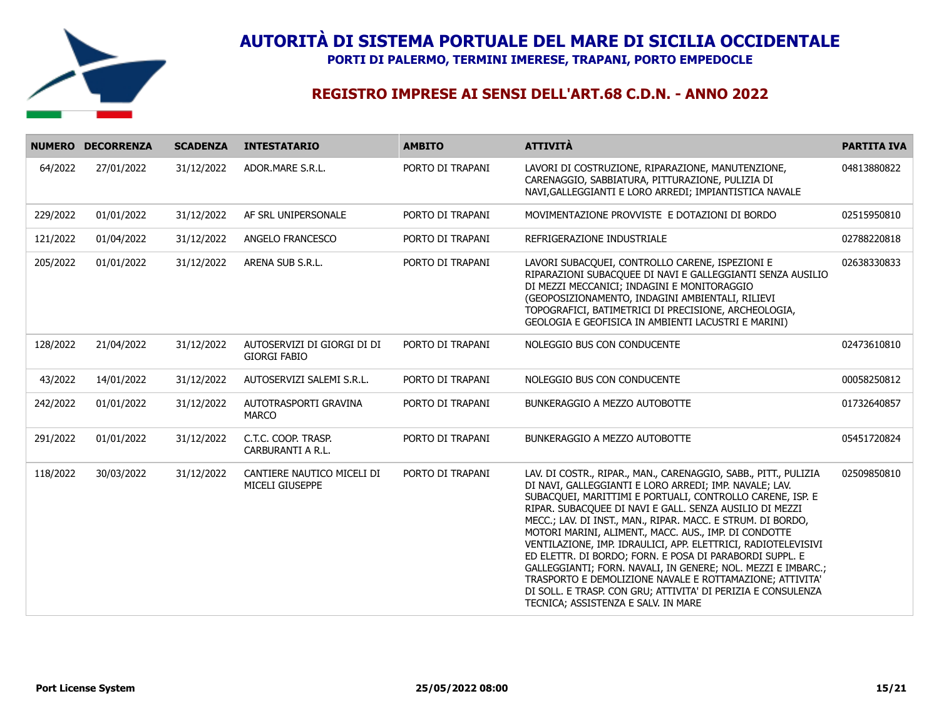

**PORTI DI PALERMO, TERMINI IMERESE, TRAPANI, PORTO EMPEDOCLE**

|          | NUMERO DECORRENZA | <b>SCADENZA</b> | <b>INTESTATARIO</b>                                | <b>AMBITO</b>    | <b>ATTIVITÀ</b>                                                                                                                                                                                                                                                                                                                                                                                                                                                                                                                                                                                                                                                                                                                          | <b>PARTITA IVA</b> |
|----------|-------------------|-----------------|----------------------------------------------------|------------------|------------------------------------------------------------------------------------------------------------------------------------------------------------------------------------------------------------------------------------------------------------------------------------------------------------------------------------------------------------------------------------------------------------------------------------------------------------------------------------------------------------------------------------------------------------------------------------------------------------------------------------------------------------------------------------------------------------------------------------------|--------------------|
| 64/2022  | 27/01/2022        | 31/12/2022      | ADOR.MARE S.R.L.                                   | PORTO DI TRAPANI | LAVORI DI COSTRUZIONE, RIPARAZIONE, MANUTENZIONE,<br>CARENAGGIO, SABBIATURA, PITTURAZIONE, PULIZIA DI<br>NAVI, GALLEGGIANTI E LORO ARREDI; IMPIANTISTICA NAVALE                                                                                                                                                                                                                                                                                                                                                                                                                                                                                                                                                                          | 04813880822        |
| 229/2022 | 01/01/2022        | 31/12/2022      | AF SRL UNIPERSONALE                                | PORTO DI TRAPANI | MOVIMENTAZIONE PROVVISTE E DOTAZIONI DI BORDO                                                                                                                                                                                                                                                                                                                                                                                                                                                                                                                                                                                                                                                                                            | 02515950810        |
| 121/2022 | 01/04/2022        | 31/12/2022      | ANGELO FRANCESCO                                   | PORTO DI TRAPANI | REFRIGERAZIONE INDUSTRIALE                                                                                                                                                                                                                                                                                                                                                                                                                                                                                                                                                                                                                                                                                                               | 02788220818        |
| 205/2022 | 01/01/2022        | 31/12/2022      | ARENA SUB S.R.L.                                   | PORTO DI TRAPANI | LAVORI SUBACQUEI, CONTROLLO CARENE, ISPEZIONI E<br>RIPARAZIONI SUBACQUEE DI NAVI E GALLEGGIANTI SENZA AUSILIO<br>DI MEZZI MECCANICI; INDAGINI E MONITORAGGIO<br>(GEOPOSIZIONAMENTO, INDAGINI AMBIENTALI, RILIEVI<br>TOPOGRAFICI, BATIMETRICI DI PRECISIONE, ARCHEOLOGIA,<br>GEOLOGIA E GEOFISICA IN AMBIENTI LACUSTRI E MARINI)                                                                                                                                                                                                                                                                                                                                                                                                          | 02638330833        |
| 128/2022 | 21/04/2022        | 31/12/2022      | AUTOSERVIZI DI GIORGI DI DI<br><b>GIORGI FABIO</b> | PORTO DI TRAPANI | NOLEGGIO BUS CON CONDUCENTE                                                                                                                                                                                                                                                                                                                                                                                                                                                                                                                                                                                                                                                                                                              | 02473610810        |
| 43/2022  | 14/01/2022        | 31/12/2022      | AUTOSERVIZI SALEMI S.R.L.                          | PORTO DI TRAPANI | NOLEGGIO BUS CON CONDUCENTE                                                                                                                                                                                                                                                                                                                                                                                                                                                                                                                                                                                                                                                                                                              | 00058250812        |
| 242/2022 | 01/01/2022        | 31/12/2022      | AUTOTRASPORTI GRAVINA<br>MARCO                     | PORTO DI TRAPANI | BUNKERAGGIO A MEZZO AUTOBOTTE                                                                                                                                                                                                                                                                                                                                                                                                                                                                                                                                                                                                                                                                                                            | 01732640857        |
| 291/2022 | 01/01/2022        | 31/12/2022      | C.T.C. COOP. TRASP.<br>CARBURANTI A R.L.           | PORTO DI TRAPANI | BUNKERAGGIO A MEZZO AUTOBOTTE                                                                                                                                                                                                                                                                                                                                                                                                                                                                                                                                                                                                                                                                                                            | 05451720824        |
| 118/2022 | 30/03/2022        | 31/12/2022      | CANTIERE NAUTICO MICELI DI<br>MICELI GIUSEPPE      | PORTO DI TRAPANI | LAV. DI COSTR., RIPAR., MAN., CARENAGGIO, SABB., PITT., PULIZIA<br>DI NAVI, GALLEGGIANTI E LORO ARREDI; IMP. NAVALE; LAV.<br>SUBACQUEI, MARITTIMI E PORTUALI, CONTROLLO CARENE, ISP. E<br>RIPAR. SUBACQUEE DI NAVI E GALL. SENZA AUSILIO DI MEZZI<br>MECC.; LAV. DI INST., MAN., RIPAR. MACC. E STRUM. DI BORDO,<br>MOTORI MARINI, ALIMENT., MACC. AUS., IMP. DI CONDOTTE<br>VENTILAZIONE, IMP. IDRAULICI, APP. ELETTRICI, RADIOTELEVISIVI<br>ED ELETTR. DI BORDO; FORN. E POSA DI PARABORDI SUPPL. E<br>GALLEGGIANTI; FORN. NAVALI, IN GENERE; NOL. MEZZI E IMBARC.;<br>TRASPORTO E DEMOLIZIONE NAVALE E ROTTAMAZIONE; ATTIVITA'<br>DI SOLL. E TRASP. CON GRU; ATTIVITA' DI PERIZIA E CONSULENZA<br>TECNICA; ASSISTENZA E SALV. IN MARE | 02509850810        |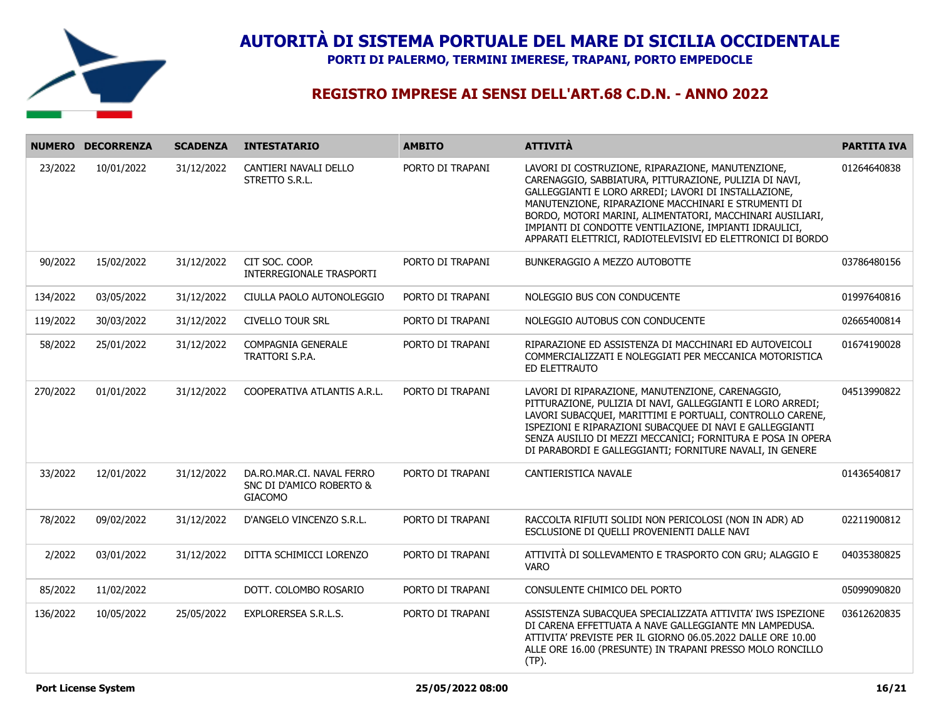

**PORTI DI PALERMO, TERMINI IMERESE, TRAPANI, PORTO EMPEDOCLE**

|          | NUMERO DECORRENZA | <b>SCADENZA</b> | <b>INTESTATARIO</b>                                                     | <b>AMBITO</b>    | <b>ATTIVITÀ</b>                                                                                                                                                                                                                                                                                                                                                                                                  | <b>PARTITA IVA</b> |
|----------|-------------------|-----------------|-------------------------------------------------------------------------|------------------|------------------------------------------------------------------------------------------------------------------------------------------------------------------------------------------------------------------------------------------------------------------------------------------------------------------------------------------------------------------------------------------------------------------|--------------------|
| 23/2022  | 10/01/2022        | 31/12/2022      | CANTIERI NAVALI DELLO<br>STRETTO S.R.L.                                 | PORTO DI TRAPANI | LAVORI DI COSTRUZIONE, RIPARAZIONE, MANUTENZIONE,<br>CARENAGGIO, SABBIATURA, PITTURAZIONE, PULIZIA DI NAVI,<br>GALLEGGIANTI E LORO ARREDI; LAVORI DI INSTALLAZIONE,<br>MANUTENZIONE, RIPARAZIONE MACCHINARI E STRUMENTI DI<br>BORDO, MOTORI MARINI, ALIMENTATORI, MACCHINARI AUSILIARI,<br>IMPIANTI DI CONDOTTE VENTILAZIONE, IMPIANTI IDRAULICI,<br>APPARATI ELETTRICI, RADIOTELEVISIVI ED ELETTRONICI DI BORDO | 01264640838        |
| 90/2022  | 15/02/2022        | 31/12/2022      | CIT SOC. COOP.<br>INTERREGIONALE TRASPORTI                              | PORTO DI TRAPANI | BUNKERAGGIO A MEZZO AUTOBOTTE                                                                                                                                                                                                                                                                                                                                                                                    | 03786480156        |
| 134/2022 | 03/05/2022        | 31/12/2022      | CIULLA PAOLO AUTONOLEGGIO                                               | PORTO DI TRAPANI | NOLEGGIO BUS CON CONDUCENTE                                                                                                                                                                                                                                                                                                                                                                                      | 01997640816        |
| 119/2022 | 30/03/2022        | 31/12/2022      | <b>CIVELLO TOUR SRL</b>                                                 | PORTO DI TRAPANI | NOLEGGIO AUTOBUS CON CONDUCENTE                                                                                                                                                                                                                                                                                                                                                                                  | 02665400814        |
| 58/2022  | 25/01/2022        | 31/12/2022      | COMPAGNIA GENERALE<br>TRATTORI S.P.A.                                   | PORTO DI TRAPANI | RIPARAZIONE ED ASSISTENZA DI MACCHINARI ED AUTOVEICOLI<br>COMMERCIALIZZATI E NOLEGGIATI PER MECCANICA MOTORISTICA<br>ED ELETTRAUTO                                                                                                                                                                                                                                                                               | 01674190028        |
| 270/2022 | 01/01/2022        | 31/12/2022      | COOPERATIVA ATLANTIS A.R.L.                                             | PORTO DI TRAPANI | LAVORI DI RIPARAZIONE, MANUTENZIONE, CARENAGGIO,<br>PITTURAZIONE, PULIZIA DI NAVI, GALLEGGIANTI E LORO ARREDI;<br>LAVORI SUBACQUEI, MARITTIMI E PORTUALI, CONTROLLO CARENE,<br>ISPEZIONI E RIPARAZIONI SUBACQUEE DI NAVI E GALLEGGIANTI<br>SENZA AUSILIO DI MEZZI MECCANICI; FORNITURA E POSA IN OPERA<br>DI PARABORDI E GALLEGGIANTI; FORNITURE NAVALI, IN GENERE                                               | 04513990822        |
| 33/2022  | 12/01/2022        | 31/12/2022      | DA.RO.MAR.CI. NAVAL FERRO<br>SNC DI D'AMICO ROBERTO &<br><b>GIACOMO</b> | PORTO DI TRAPANI | CANTIERISTICA NAVALE                                                                                                                                                                                                                                                                                                                                                                                             | 01436540817        |
| 78/2022  | 09/02/2022        | 31/12/2022      | D'ANGELO VINCENZO S.R.L.                                                | PORTO DI TRAPANI | RACCOLTA RIFIUTI SOLIDI NON PERICOLOSI (NON IN ADR) AD<br>ESCLUSIONE DI QUELLI PROVENIENTI DALLE NAVI                                                                                                                                                                                                                                                                                                            | 02211900812        |
| 2/2022   | 03/01/2022        | 31/12/2022      | DITTA SCHIMICCI LORENZO                                                 | PORTO DI TRAPANI | ATTIVITÀ DI SOLLEVAMENTO E TRASPORTO CON GRU; ALAGGIO E<br><b>VARO</b>                                                                                                                                                                                                                                                                                                                                           | 04035380825        |
| 85/2022  | 11/02/2022        |                 | DOTT. COLOMBO ROSARIO                                                   | PORTO DI TRAPANI | CONSULENTE CHIMICO DEL PORTO                                                                                                                                                                                                                                                                                                                                                                                     | 05099090820        |
| 136/2022 | 10/05/2022        | 25/05/2022      | EXPLORERSEA S.R.L.S.                                                    | PORTO DI TRAPANI | ASSISTENZA SUBACQUEA SPECIALIZZATA ATTIVITA' IWS ISPEZIONE<br>DI CARENA EFFETTUATA A NAVE GALLEGGIANTE MN LAMPEDUSA.<br>ATTIVITA' PREVISTE PER IL GIORNO 06.05.2022 DALLE ORE 10.00<br>ALLE ORE 16.00 (PRESUNTE) IN TRAPANI PRESSO MOLO RONCILLO<br>(TP).                                                                                                                                                        | 03612620835        |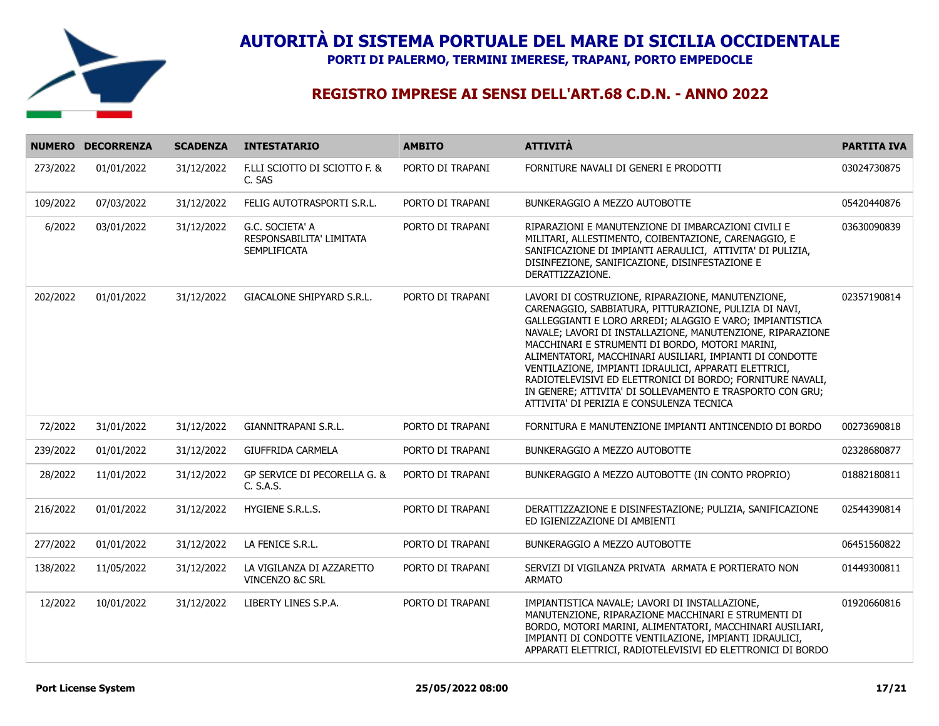

**PORTI DI PALERMO, TERMINI IMERESE, TRAPANI, PORTO EMPEDOCLE**

|          | NUMERO DECORRENZA | <b>SCADENZA</b> | <b>INTESTATARIO</b>                                                | <b>AMBITO</b>    | <b>ATTIVITÀ</b>                                                                                                                                                                                                                                                                                                                                                                                                                                                                                                                                                                        | <b>PARTITA IVA</b> |
|----------|-------------------|-----------------|--------------------------------------------------------------------|------------------|----------------------------------------------------------------------------------------------------------------------------------------------------------------------------------------------------------------------------------------------------------------------------------------------------------------------------------------------------------------------------------------------------------------------------------------------------------------------------------------------------------------------------------------------------------------------------------------|--------------------|
| 273/2022 | 01/01/2022        | 31/12/2022      | F.LLI SCIOTTO DI SCIOTTO F. &<br>C. SAS                            | PORTO DI TRAPANI | FORNITURE NAVALI DI GENERI E PRODOTTI                                                                                                                                                                                                                                                                                                                                                                                                                                                                                                                                                  | 03024730875        |
| 109/2022 | 07/03/2022        | 31/12/2022      | FELIG AUTOTRASPORTI S.R.L.                                         | PORTO DI TRAPANI | BUNKERAGGIO A MEZZO AUTOBOTTE                                                                                                                                                                                                                                                                                                                                                                                                                                                                                                                                                          | 05420440876        |
| 6/2022   | 03/01/2022        | 31/12/2022      | G.C. SOCIETA' A<br>RESPONSABILITA' LIMITATA<br><b>SEMPLIFICATA</b> | PORTO DI TRAPANI | RIPARAZIONI E MANUTENZIONE DI IMBARCAZIONI CIVILI E<br>MILITARI, ALLESTIMENTO, COIBENTAZIONE, CARENAGGIO, E<br>SANIFICAZIONE DI IMPIANTI AERAULICI, ATTIVITA' DI PULIZIA,<br>DISINFEZIONE, SANIFICAZIONE, DISINFESTAZIONE E<br>DERATTIZZAZIONE.                                                                                                                                                                                                                                                                                                                                        | 03630090839        |
| 202/2022 | 01/01/2022        | 31/12/2022      | GIACALONE SHIPYARD S.R.L.                                          | PORTO DI TRAPANI | LAVORI DI COSTRUZIONE, RIPARAZIONE, MANUTENZIONE,<br>CARENAGGIO, SABBIATURA, PITTURAZIONE, PULIZIA DI NAVI,<br>GALLEGGIANTI E LORO ARREDI; ALAGGIO E VARO; IMPIANTISTICA<br>NAVALE; LAVORI DI INSTALLAZIONE, MANUTENZIONE, RIPARAZIONE<br>MACCHINARI E STRUMENTI DI BORDO, MOTORI MARINI,<br>ALIMENTATORI, MACCHINARI AUSILIARI, IMPIANTI DI CONDOTTE<br>VENTILAZIONE, IMPIANTI IDRAULICI, APPARATI ELETTRICI,<br>RADIOTELEVISIVI ED ELETTRONICI DI BORDO; FORNITURE NAVALI,<br>IN GENERE; ATTIVITA' DI SOLLEVAMENTO E TRASPORTO CON GRU;<br>ATTIVITA' DI PERIZIA E CONSULENZA TECNICA | 02357190814        |
| 72/2022  | 31/01/2022        | 31/12/2022      | GIANNITRAPANI S.R.L.                                               | PORTO DI TRAPANI | FORNITURA E MANUTENZIONE IMPIANTI ANTINCENDIO DI BORDO                                                                                                                                                                                                                                                                                                                                                                                                                                                                                                                                 | 00273690818        |
| 239/2022 | 01/01/2022        | 31/12/2022      | <b>GIUFFRIDA CARMELA</b>                                           | PORTO DI TRAPANI | BUNKERAGGIO A MEZZO AUTOBOTTE                                                                                                                                                                                                                                                                                                                                                                                                                                                                                                                                                          | 02328680877        |
| 28/2022  | 11/01/2022        | 31/12/2022      | GP SERVICE DI PECORELLA G. &<br>C. S.A.S.                          | PORTO DI TRAPANI | BUNKERAGGIO A MEZZO AUTOBOTTE (IN CONTO PROPRIO)                                                                                                                                                                                                                                                                                                                                                                                                                                                                                                                                       | 01882180811        |
| 216/2022 | 01/01/2022        | 31/12/2022      | HYGIENE S.R.L.S.                                                   | PORTO DI TRAPANI | DERATTIZZAZIONE E DISINFESTAZIONE; PULIZIA, SANIFICAZIONE<br>ED IGIENIZZAZIONE DI AMBIENTI                                                                                                                                                                                                                                                                                                                                                                                                                                                                                             | 02544390814        |
| 277/2022 | 01/01/2022        | 31/12/2022      | LA FENICE S.R.L.                                                   | PORTO DI TRAPANI | BUNKERAGGIO A MEZZO AUTOBOTTE                                                                                                                                                                                                                                                                                                                                                                                                                                                                                                                                                          | 06451560822        |
| 138/2022 | 11/05/2022        | 31/12/2022      | LA VIGILANZA DI AZZARETTO<br>VINCENZO &C SRL                       | PORTO DI TRAPANI | SERVIZI DI VIGILANZA PRIVATA ARMATA E PORTIERATO NON<br><b>ARMATO</b>                                                                                                                                                                                                                                                                                                                                                                                                                                                                                                                  | 01449300811        |
| 12/2022  | 10/01/2022        | 31/12/2022      | LIBERTY LINES S.P.A.                                               | PORTO DI TRAPANI | IMPIANTISTICA NAVALE; LAVORI DI INSTALLAZIONE,<br>MANUTENZIONE, RIPARAZIONE MACCHINARI E STRUMENTI DI<br>BORDO, MOTORI MARINI, ALIMENTATORI, MACCHINARI AUSILIARI,<br>IMPIANTI DI CONDOTTE VENTILAZIONE, IMPIANTI IDRAULICI,<br>APPARATI ELETTRICI, RADIOTELEVISIVI ED ELETTRONICI DI BORDO                                                                                                                                                                                                                                                                                            | 01920660816        |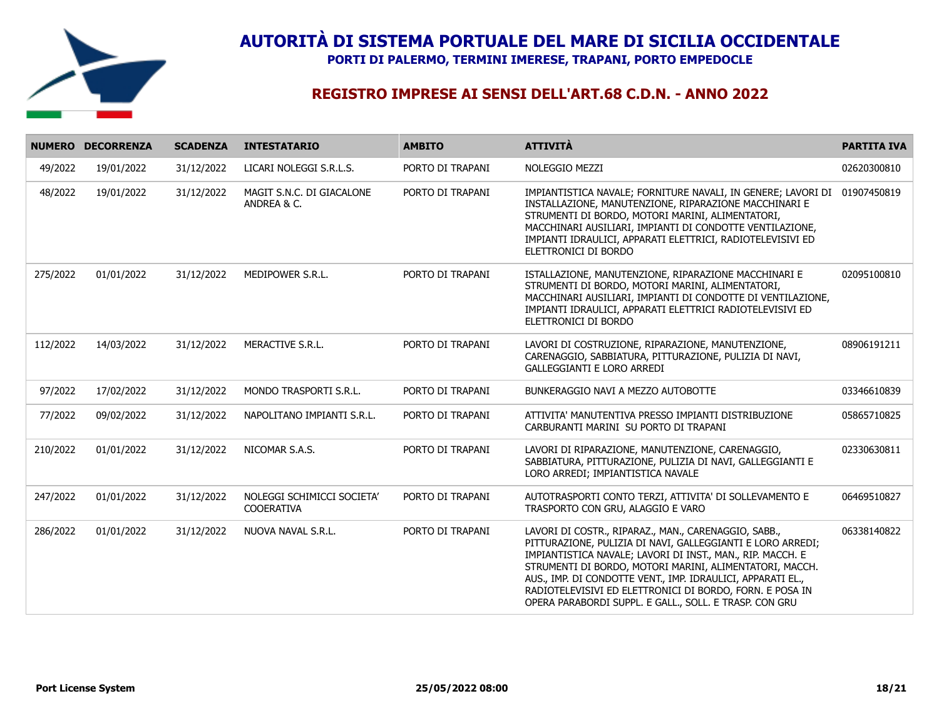

**PORTI DI PALERMO, TERMINI IMERESE, TRAPANI, PORTO EMPEDOCLE**

|          | NUMERO DECORRENZA | <b>SCADENZA</b> | <b>INTESTATARIO</b>                             | <b>AMBITO</b>    | <b>ATTIVITÀ</b>                                                                                                                                                                                                                                                                                                                                                                                                                  | <b>PARTITA IVA</b> |
|----------|-------------------|-----------------|-------------------------------------------------|------------------|----------------------------------------------------------------------------------------------------------------------------------------------------------------------------------------------------------------------------------------------------------------------------------------------------------------------------------------------------------------------------------------------------------------------------------|--------------------|
| 49/2022  | 19/01/2022        | 31/12/2022      | LICARI NOLEGGI S.R.L.S.                         | PORTO DI TRAPANI | NOLEGGIO MEZZI                                                                                                                                                                                                                                                                                                                                                                                                                   | 02620300810        |
| 48/2022  | 19/01/2022        | 31/12/2022      | MAGIT S.N.C. DI GIACALONE<br>ANDREA & C.        | PORTO DI TRAPANI | IMPIANTISTICA NAVALE; FORNITURE NAVALI, IN GENERE; LAVORI DI<br>INSTALLAZIONE, MANUTENZIONE, RIPARAZIONE MACCHINARI E<br>STRUMENTI DI BORDO, MOTORI MARINI, ALIMENTATORI,<br>MACCHINARI AUSILIARI, IMPIANTI DI CONDOTTE VENTILAZIONE,<br>IMPIANTI IDRAULICI, APPARATI ELETTRICI, RADIOTELEVISIVI ED<br>ELETTRONICI DI BORDO                                                                                                      | 01907450819        |
| 275/2022 | 01/01/2022        | 31/12/2022      | MEDIPOWER S.R.L.                                | PORTO DI TRAPANI | ISTALLAZIONE, MANUTENZIONE, RIPARAZIONE MACCHINARI E<br>STRUMENTI DI BORDO, MOTORI MARINI, ALIMENTATORI,<br>MACCHINARI AUSILIARI, IMPIANTI DI CONDOTTE DI VENTILAZIONE,<br>IMPIANTI IDRAULICI, APPARATI ELETTRICI RADIOTELEVISIVI ED<br>ELETTRONICI DI BORDO                                                                                                                                                                     | 02095100810        |
| 112/2022 | 14/03/2022        | 31/12/2022      | MERACTIVE S.R.L.                                | PORTO DI TRAPANI | LAVORI DI COSTRUZIONE, RIPARAZIONE, MANUTENZIONE,<br>CARENAGGIO, SABBIATURA, PITTURAZIONE, PULIZIA DI NAVI,<br><b>GALLEGGIANTI E LORO ARREDI</b>                                                                                                                                                                                                                                                                                 | 08906191211        |
| 97/2022  | 17/02/2022        | 31/12/2022      | MONDO TRASPORTI S.R.L.                          | PORTO DI TRAPANI | BUNKERAGGIO NAVI A MEZZO AUTOBOTTE                                                                                                                                                                                                                                                                                                                                                                                               | 03346610839        |
| 77/2022  | 09/02/2022        | 31/12/2022      | NAPOLITANO IMPIANTI S.R.L.                      | PORTO DI TRAPANI | ATTIVITA' MANUTENTIVA PRESSO IMPIANTI DISTRIBUZIONE<br>CARBURANTI MARINI SU PORTO DI TRAPANI                                                                                                                                                                                                                                                                                                                                     | 05865710825        |
| 210/2022 | 01/01/2022        | 31/12/2022      | NICOMAR S.A.S.                                  | PORTO DI TRAPANI | LAVORI DI RIPARAZIONE, MANUTENZIONE, CARENAGGIO,<br>SABBIATURA, PITTURAZIONE, PULIZIA DI NAVI, GALLEGGIANTI E<br>LORO ARREDI; IMPIANTISTICA NAVALE                                                                                                                                                                                                                                                                               | 02330630811        |
| 247/2022 | 01/01/2022        | 31/12/2022      | NOLEGGI SCHIMICCI SOCIETA'<br><b>COOERATIVA</b> | PORTO DI TRAPANI | AUTOTRASPORTI CONTO TERZI, ATTIVITA' DI SOLLEVAMENTO E<br>TRASPORTO CON GRU, ALAGGIO E VARO                                                                                                                                                                                                                                                                                                                                      | 06469510827        |
| 286/2022 | 01/01/2022        | 31/12/2022      | NUOVA NAVAL S.R.L.                              | PORTO DI TRAPANI | LAVORI DI COSTR., RIPARAZ., MAN., CARENAGGIO, SABB.,<br>PITTURAZIONE, PULIZIA DI NAVI, GALLEGGIANTI E LORO ARREDI;<br>IMPIANTISTICA NAVALE; LAVORI DI INST., MAN., RIP. MACCH. E<br>STRUMENTI DI BORDO, MOTORI MARINI, ALIMENTATORI, MACCH.<br>AUS., IMP. DI CONDOTTE VENT., IMP. IDRAULICI, APPARATI EL.,<br>RADIOTELEVISIVI ED ELETTRONICI DI BORDO, FORN. E POSA IN<br>OPERA PARABORDI SUPPL. E GALL., SOLL. E TRASP. CON GRU | 06338140822        |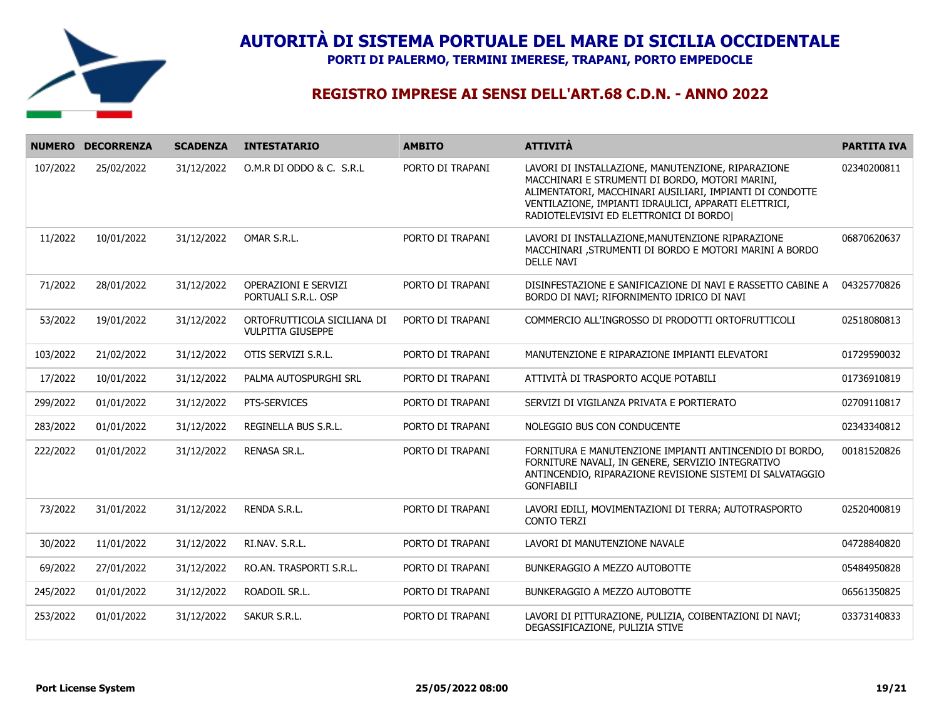

**PORTI DI PALERMO, TERMINI IMERESE, TRAPANI, PORTO EMPEDOCLE**

|          | NUMERO DECORRENZA | <b>SCADENZA</b> | <b>INTESTATARIO</b>                                     | <b>AMBITO</b>    | <b>ATTIVITÀ</b>                                                                                                                                                                                                                                                       | <b>PARTITA IVA</b> |
|----------|-------------------|-----------------|---------------------------------------------------------|------------------|-----------------------------------------------------------------------------------------------------------------------------------------------------------------------------------------------------------------------------------------------------------------------|--------------------|
| 107/2022 | 25/02/2022        | 31/12/2022      | O.M.R DI ODDO & C. S.R.L                                | PORTO DI TRAPANI | LAVORI DI INSTALLAZIONE, MANUTENZIONE, RIPARAZIONE<br>MACCHINARI E STRUMENTI DI BORDO, MOTORI MARINI,<br>ALIMENTATORI, MACCHINARI AUSILIARI, IMPIANTI DI CONDOTTE<br>VENTILAZIONE, IMPIANTI IDRAULICI, APPARATI ELETTRICI,<br>RADIOTELEVISIVI ED ELETTRONICI DI BORDO | 02340200811        |
| 11/2022  | 10/01/2022        | 31/12/2022      | OMAR S.R.L.                                             | PORTO DI TRAPANI | LAVORI DI INSTALLAZIONE, MANUTENZIONE RIPARAZIONE<br>MACCHINARI , STRUMENTI DI BORDO E MOTORI MARINI A BORDO<br><b>DELLE NAVI</b>                                                                                                                                     | 06870620637        |
| 71/2022  | 28/01/2022        | 31/12/2022      | <b>OPERAZIONI E SERVIZI</b><br>PORTUALI S.R.L. OSP      | PORTO DI TRAPANI | DISINFESTAZIONE E SANIFICAZIONE DI NAVI E RASSETTO CABINE A<br>BORDO DI NAVI; RIFORNIMENTO IDRICO DI NAVI                                                                                                                                                             | 04325770826        |
| 53/2022  | 19/01/2022        | 31/12/2022      | ORTOFRUTTICOLA SICILIANA DI<br><b>VULPITTA GIUSEPPE</b> | PORTO DI TRAPANI | COMMERCIO ALL'INGROSSO DI PRODOTTI ORTOFRUTTICOLI                                                                                                                                                                                                                     | 02518080813        |
| 103/2022 | 21/02/2022        | 31/12/2022      | OTIS SERVIZI S.R.L.                                     | PORTO DI TRAPANI | MANUTENZIONE E RIPARAZIONE IMPIANTI ELEVATORI                                                                                                                                                                                                                         | 01729590032        |
| 17/2022  | 10/01/2022        | 31/12/2022      | PALMA AUTOSPURGHI SRL                                   | PORTO DI TRAPANI | ATTIVITÀ DI TRASPORTO ACQUE POTABILI                                                                                                                                                                                                                                  | 01736910819        |
| 299/2022 | 01/01/2022        | 31/12/2022      | PTS-SERVICES                                            | PORTO DI TRAPANI | SERVIZI DI VIGILANZA PRIVATA E PORTIERATO                                                                                                                                                                                                                             | 02709110817        |
| 283/2022 | 01/01/2022        | 31/12/2022      | REGINELLA BUS S.R.L.                                    | PORTO DI TRAPANI | NOLEGGIO BUS CON CONDUCENTE                                                                                                                                                                                                                                           | 02343340812        |
| 222/2022 | 01/01/2022        | 31/12/2022      | RENASA SR.L.                                            | PORTO DI TRAPANI | FORNITURA E MANUTENZIONE IMPIANTI ANTINCENDIO DI BORDO,<br>FORNITURE NAVALI, IN GENERE, SERVIZIO INTEGRATIVO<br>ANTINCENDIO, RIPARAZIONE REVISIONE SISTEMI DI SALVATAGGIO<br><b>GONFIABILI</b>                                                                        | 00181520826        |
| 73/2022  | 31/01/2022        | 31/12/2022      | RENDA S.R.L.                                            | PORTO DI TRAPANI | LAVORI EDILI, MOVIMENTAZIONI DI TERRA; AUTOTRASPORTO<br><b>CONTO TERZI</b>                                                                                                                                                                                            | 02520400819        |
| 30/2022  | 11/01/2022        | 31/12/2022      | RI.NAV. S.R.L.                                          | PORTO DI TRAPANI | LAVORI DI MANUTENZIONE NAVALE                                                                                                                                                                                                                                         | 04728840820        |
| 69/2022  | 27/01/2022        | 31/12/2022      | RO.AN. TRASPORTI S.R.L.                                 | PORTO DI TRAPANI | BUNKERAGGIO A MEZZO AUTOBOTTE                                                                                                                                                                                                                                         | 05484950828        |
| 245/2022 | 01/01/2022        | 31/12/2022      | ROADOIL SR.L.                                           | PORTO DI TRAPANI | BUNKERAGGIO A MEZZO AUTOBOTTE                                                                                                                                                                                                                                         | 06561350825        |
| 253/2022 | 01/01/2022        | 31/12/2022      | SAKUR S.R.L.                                            | PORTO DI TRAPANI | LAVORI DI PITTURAZIONE, PULIZIA, COIBENTAZIONI DI NAVI;<br>DEGASSIFICAZIONE, PULIZIA STIVE                                                                                                                                                                            | 03373140833        |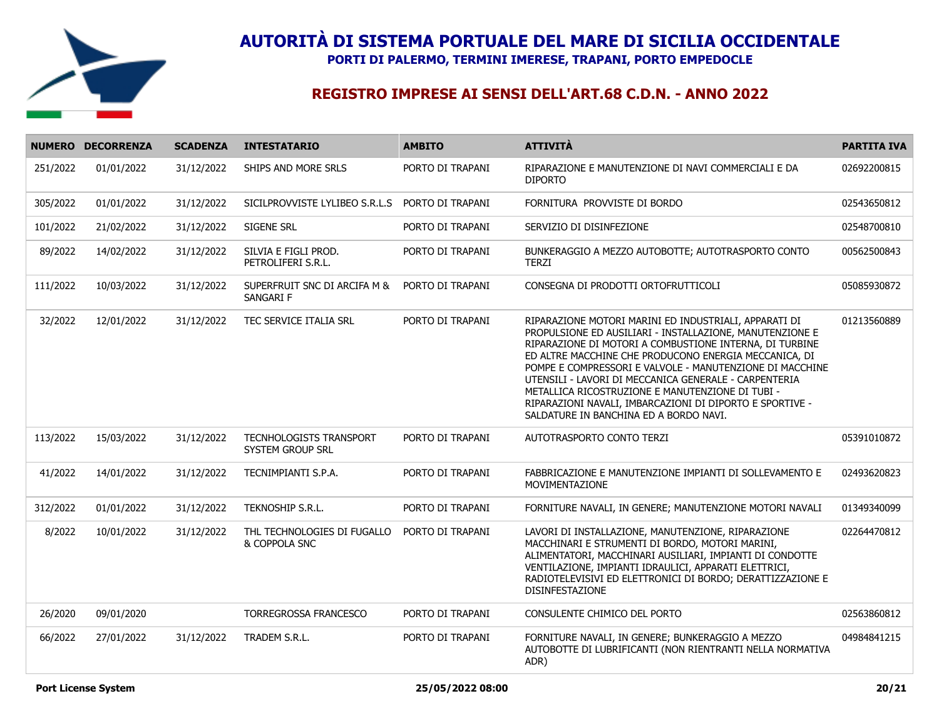

**PORTI DI PALERMO, TERMINI IMERESE, TRAPANI, PORTO EMPEDOCLE**

|          | NUMERO DECORRENZA | <b>SCADENZA</b> | <b>INTESTATARIO</b>                          | <b>AMBITO</b>    | <b>ATTIVITÀ</b>                                                                                                                                                                                                                                                                                                                                                                                                                                                                                                      | <b>PARTITA IVA</b> |
|----------|-------------------|-----------------|----------------------------------------------|------------------|----------------------------------------------------------------------------------------------------------------------------------------------------------------------------------------------------------------------------------------------------------------------------------------------------------------------------------------------------------------------------------------------------------------------------------------------------------------------------------------------------------------------|--------------------|
| 251/2022 | 01/01/2022        | 31/12/2022      | SHIPS AND MORE SRLS                          | PORTO DI TRAPANI | RIPARAZIONE E MANUTENZIONE DI NAVI COMMERCIALI E DA<br><b>DIPORTO</b>                                                                                                                                                                                                                                                                                                                                                                                                                                                | 02692200815        |
| 305/2022 | 01/01/2022        | 31/12/2022      | SICILPROVVISTE LYLIBEO S.R.L.S               | PORTO DI TRAPANI | FORNITURA PROVVISTE DI BORDO                                                                                                                                                                                                                                                                                                                                                                                                                                                                                         | 02543650812        |
| 101/2022 | 21/02/2022        | 31/12/2022      | SIGENE SRL                                   | PORTO DI TRAPANI | SERVIZIO DI DISINFEZIONE                                                                                                                                                                                                                                                                                                                                                                                                                                                                                             | 02548700810        |
| 89/2022  | 14/02/2022        | 31/12/2022      | SILVIA E FIGLI PROD.<br>PETROLIFERI S.R.L.   | PORTO DI TRAPANI | BUNKERAGGIO A MEZZO AUTOBOTTE; AUTOTRASPORTO CONTO<br>TERZI                                                                                                                                                                                                                                                                                                                                                                                                                                                          | 00562500843        |
| 111/2022 | 10/03/2022        | 31/12/2022      | SUPERFRUIT SNC DI ARCIFA M &<br>SANGARI F    | PORTO DI TRAPANI | CONSEGNA DI PRODOTTI ORTOFRUTTICOLI                                                                                                                                                                                                                                                                                                                                                                                                                                                                                  | 05085930872        |
| 32/2022  | 12/01/2022        | 31/12/2022      | TEC SERVICE ITALIA SRL                       | PORTO DI TRAPANI | RIPARAZIONE MOTORI MARINI ED INDUSTRIALI, APPARATI DI<br>PROPULSIONE ED AUSILIARI - INSTALLAZIONE, MANUTENZIONE E<br>RIPARAZIONE DI MOTORI A COMBUSTIONE INTERNA, DI TURBINE<br>ED ALTRE MACCHINE CHE PRODUCONO ENERGIA MECCANICA, DI<br>POMPE E COMPRESSORI E VALVOLE - MANUTENZIONE DI MACCHINE<br>UTENSILI - LAVORI DI MECCANICA GENERALE - CARPENTERIA<br>METALLICA RICOSTRUZIONE E MANUTENZIONE DI TUBI -<br>RIPARAZIONI NAVALI, IMBARCAZIONI DI DIPORTO E SPORTIVE -<br>SALDATURE IN BANCHINA ED A BORDO NAVI. | 01213560889        |
| 113/2022 | 15/03/2022        | 31/12/2022      | TECNHOLOGISTS TRANSPORT<br>SYSTEM GROUP SRL  | PORTO DI TRAPANI | AUTOTRASPORTO CONTO TERZI                                                                                                                                                                                                                                                                                                                                                                                                                                                                                            | 05391010872        |
| 41/2022  | 14/01/2022        | 31/12/2022      | TECNIMPIANTI S.P.A.                          | PORTO DI TRAPANI | FABBRICAZIONE E MANUTENZIONE IMPIANTI DI SOLLEVAMENTO E<br>MOVIMENTAZIONE                                                                                                                                                                                                                                                                                                                                                                                                                                            | 02493620823        |
| 312/2022 | 01/01/2022        | 31/12/2022      | TEKNOSHIP S.R.L.                             | PORTO DI TRAPANI | FORNITURE NAVALI, IN GENERE; MANUTENZIONE MOTORI NAVALI                                                                                                                                                                                                                                                                                                                                                                                                                                                              | 01349340099        |
| 8/2022   | 10/01/2022        | 31/12/2022      | THL TECHNOLOGIES DI FUGALLO<br>& COPPOLA SNC | PORTO DI TRAPANI | LAVORI DI INSTALLAZIONE, MANUTENZIONE, RIPARAZIONE<br>MACCHINARI E STRUMENTI DI BORDO, MOTORI MARINI,<br>ALIMENTATORI, MACCHINARI AUSILIARI, IMPIANTI DI CONDOTTE<br>VENTILAZIONE, IMPIANTI IDRAULICI, APPARATI ELETTRICI,<br>RADIOTELEVISIVI ED ELETTRONICI DI BORDO; DERATTIZZAZIONE E<br>DISINFESTAZIONE                                                                                                                                                                                                          | 02264470812        |
| 26/2020  | 09/01/2020        |                 | TORREGROSSA FRANCESCO                        | PORTO DI TRAPANI | CONSULENTE CHIMICO DEL PORTO                                                                                                                                                                                                                                                                                                                                                                                                                                                                                         | 02563860812        |
| 66/2022  | 27/01/2022        | 31/12/2022      | TRADEM S.R.L.                                | PORTO DI TRAPANI | FORNITURE NAVALI, IN GENERE; BUNKERAGGIO A MEZZO<br>AUTOBOTTE DI LUBRIFICANTI (NON RIENTRANTI NELLA NORMATIVA<br>ADR)                                                                                                                                                                                                                                                                                                                                                                                                | 04984841215        |